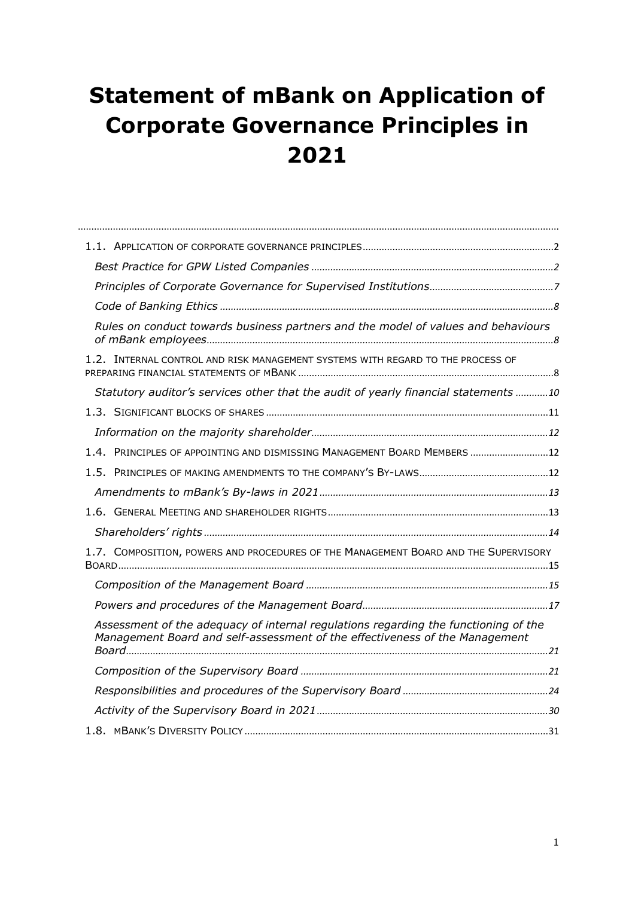# <span id="page-0-0"></span>**Statement of mBank on Application of Corporate Governance Principles in 2021**

| Rules on conduct towards business partners and the model of values and behaviours                                                                                  |  |
|--------------------------------------------------------------------------------------------------------------------------------------------------------------------|--|
| 1.2. INTERNAL CONTROL AND RISK MANAGEMENT SYSTEMS WITH REGARD TO THE PROCESS OF                                                                                    |  |
| Statutory auditor's services other that the audit of yearly financial statements 10                                                                                |  |
|                                                                                                                                                                    |  |
|                                                                                                                                                                    |  |
| 1.4. PRINCIPLES OF APPOINTING AND DISMISSING MANAGEMENT BOARD MEMBERS  12                                                                                          |  |
|                                                                                                                                                                    |  |
|                                                                                                                                                                    |  |
|                                                                                                                                                                    |  |
|                                                                                                                                                                    |  |
| 1.7. COMPOSITION, POWERS AND PROCEDURES OF THE MANAGEMENT BOARD AND THE SUPERVISORY                                                                                |  |
|                                                                                                                                                                    |  |
|                                                                                                                                                                    |  |
| Assessment of the adequacy of internal regulations regarding the functioning of the<br>Management Board and self-assessment of the effectiveness of the Management |  |
|                                                                                                                                                                    |  |
|                                                                                                                                                                    |  |
|                                                                                                                                                                    |  |
|                                                                                                                                                                    |  |
|                                                                                                                                                                    |  |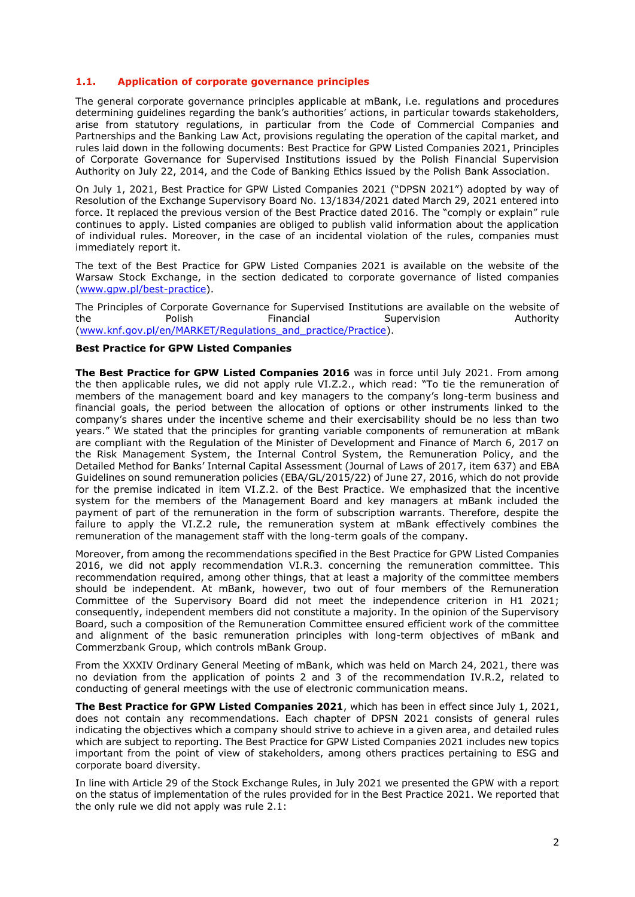# <span id="page-1-0"></span>**1.1. Application of corporate governance principles**

The general corporate governance principles applicable at mBank, i.e. regulations and procedures determining guidelines regarding the bank's authorities' actions, in particular towards stakeholders, arise from statutory regulations, in particular from the Code of Commercial Companies and Partnerships and the Banking Law Act, provisions regulating the operation of the capital market, and rules laid down in the following documents: Best Practice for GPW Listed Companies 2021, Principles of Corporate Governance for Supervised Institutions issued by the Polish Financial Supervision Authority on July 22, 2014, and the Code of Banking Ethics issued by the Polish Bank Association.

On July 1, 2021, Best Practice for GPW Listed Companies 2021 ("DPSN 2021") adopted by way of Resolution of the Exchange Supervisory Board No. 13/1834/2021 dated March 29, 2021 entered into force. It replaced the previous version of the Best Practice dated 2016. The "comply or explain" rule continues to apply. Listed companies are obliged to publish valid information about the application of individual rules. Moreover, in the case of an incidental violation of the rules, companies must immediately report it.

The text of the Best Practice for GPW Listed Companies 2021 is available on the website of the Warsaw Stock Exchange, in the section dedicated to corporate governance of listed companies [\(www.gpw.pl/best-practice\)](https://www.gpw.pl/best-practice).

The Principles of Corporate Governance for Supervised Institutions are available on the website of the Polish Financial Supervision Authority (www.knf.gov.pl/en/MARKET/Regulations and practice/Practice).

# <span id="page-1-1"></span>**Best Practice for GPW Listed Companies**

**The Best Practice for GPW Listed Companies 2016** was in force until July 2021. From among the then applicable rules, we did not apply rule VI.Z.2., which read: "To tie the remuneration of members of the management board and key managers to the company's long-term business and financial goals, the period between the allocation of options or other instruments linked to the company's shares under the incentive scheme and their exercisability should be no less than two years." We stated that the principles for granting variable components of remuneration at mBank are compliant with the Regulation of the Minister of Development and Finance of March 6, 2017 on the Risk Management System, the Internal Control System, the Remuneration Policy, and the Detailed Method for Banks' Internal Capital Assessment (Journal of Laws of 2017, item 637) and EBA Guidelines on sound remuneration policies (EBA/GL/2015/22) of June 27, 2016, which do not provide for the premise indicated in item VI.Z.2. of the Best Practice. We emphasized that the incentive system for the members of the Management Board and key managers at mBank included the payment of part of the remuneration in the form of subscription warrants. Therefore, despite the failure to apply the VI.Z.2 rule, the remuneration system at mBank effectively combines the remuneration of the management staff with the long-term goals of the company.

Moreover, from among the recommendations specified in the Best Practice for GPW Listed Companies 2016, we did not apply recommendation VI.R.3. concerning the remuneration committee. This recommendation required, among other things, that at least a majority of the committee members should be independent. At mBank, however, two out of four members of the Remuneration Committee of the Supervisory Board did not meet the independence criterion in H1 2021; consequently, independent members did not constitute a majority. In the opinion of the Supervisory Board, such a composition of the Remuneration Committee ensured efficient work of the committee and alignment of the basic remuneration principles with long-term objectives of mBank and Commerzbank Group, which controls mBank Group.

From the XXXIV Ordinary General Meeting of mBank, which was held on March 24, 2021, there was no deviation from the application of points 2 and 3 of the recommendation IV.R.2, related to conducting of general meetings with the use of electronic communication means.

**The Best Practice for GPW Listed Companies 2021**, which has been in effect since July 1, 2021, does not contain any recommendations. Each chapter of DPSN 2021 consists of general rules indicating the objectives which a company should strive to achieve in a given area, and detailed rules which are subject to reporting. The Best Practice for GPW Listed Companies 2021 includes new topics important from the point of view of stakeholders, among others practices pertaining to ESG and corporate board diversity.

In line with Article 29 of the Stock Exchange Rules, in July 2021 we presented the GPW with a report on the status of implementation of the rules provided for in the Best Practice 2021. We reported that the only rule we did not apply was rule 2.1: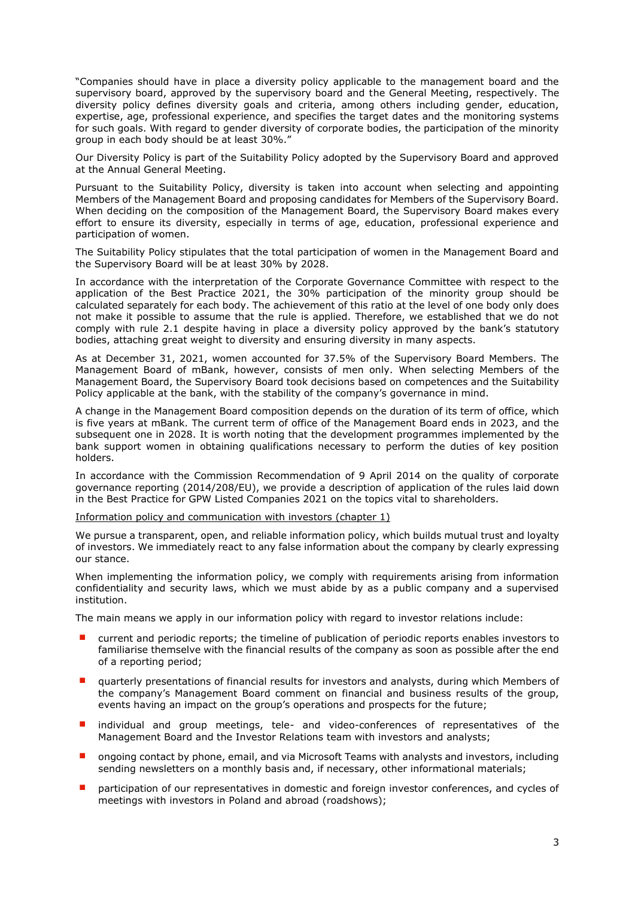"Companies should have in place a diversity policy applicable to the management board and the supervisory board, approved by the supervisory board and the General Meeting, respectively. The diversity policy defines diversity goals and criteria, among others including gender, education, expertise, age, professional experience, and specifies the target dates and the monitoring systems for such goals. With regard to gender diversity of corporate bodies, the participation of the minority group in each body should be at least 30%."

Our Diversity Policy is part of the Suitability Policy adopted by the Supervisory Board and approved at the Annual General Meeting.

Pursuant to the Suitability Policy, diversity is taken into account when selecting and appointing Members of the Management Board and proposing candidates for Members of the Supervisory Board. When deciding on the composition of the Management Board, the Supervisory Board makes every effort to ensure its diversity, especially in terms of age, education, professional experience and participation of women.

The Suitability Policy stipulates that the total participation of women in the Management Board and the Supervisory Board will be at least 30% by 2028.

In accordance with the interpretation of the Corporate Governance Committee with respect to the application of the Best Practice 2021, the 30% participation of the minority group should be calculated separately for each body. The achievement of this ratio at the level of one body only does not make it possible to assume that the rule is applied. Therefore, we established that we do not comply with rule 2.1 despite having in place a diversity policy approved by the bank's statutory bodies, attaching great weight to diversity and ensuring diversity in many aspects.

As at December 31, 2021, women accounted for 37.5% of the Supervisory Board Members. The Management Board of mBank, however, consists of men only. When selecting Members of the Management Board, the Supervisory Board took decisions based on competences and the Suitability Policy applicable at the bank, with the stability of the company's governance in mind.

A change in the Management Board composition depends on the duration of its term of office, which is five years at mBank. The current term of office of the Management Board ends in 2023, and the subsequent one in 2028. It is worth noting that the development programmes implemented by the bank support women in obtaining qualifications necessary to perform the duties of key position holders.

In accordance with the Commission Recommendation of 9 April 2014 on the quality of corporate governance reporting (2014/208/EU), we provide a description of application of the rules laid down in the Best Practice for GPW Listed Companies 2021 on the topics vital to shareholders.

Information policy and communication with investors (chapter 1)

We pursue a transparent, open, and reliable information policy, which builds mutual trust and loyalty of investors. We immediately react to any false information about the company by clearly expressing our stance.

When implementing the information policy, we comply with requirements arising from information confidentiality and security laws, which we must abide by as a public company and a supervised institution.

The main means we apply in our information policy with regard to investor relations include:

- current and periodic reports; the timeline of publication of periodic reports enables investors to familiarise themselve with the financial results of the company as soon as possible after the end of a reporting period;
- quarterly presentations of financial results for investors and analysts, during which Members of the company's Management Board comment on financial and business results of the group, events having an impact on the group's operations and prospects for the future;
- individual and group meetings, tele- and video-conferences of representatives of the Management Board and the Investor Relations team with investors and analysts;
- ongoing contact by phone, email, and via Microsoft Teams with analysts and investors, including sending newsletters on a monthly basis and, if necessary, other informational materials;
- participation of our representatives in domestic and foreign investor conferences, and cycles of meetings with investors in Poland and abroad (roadshows);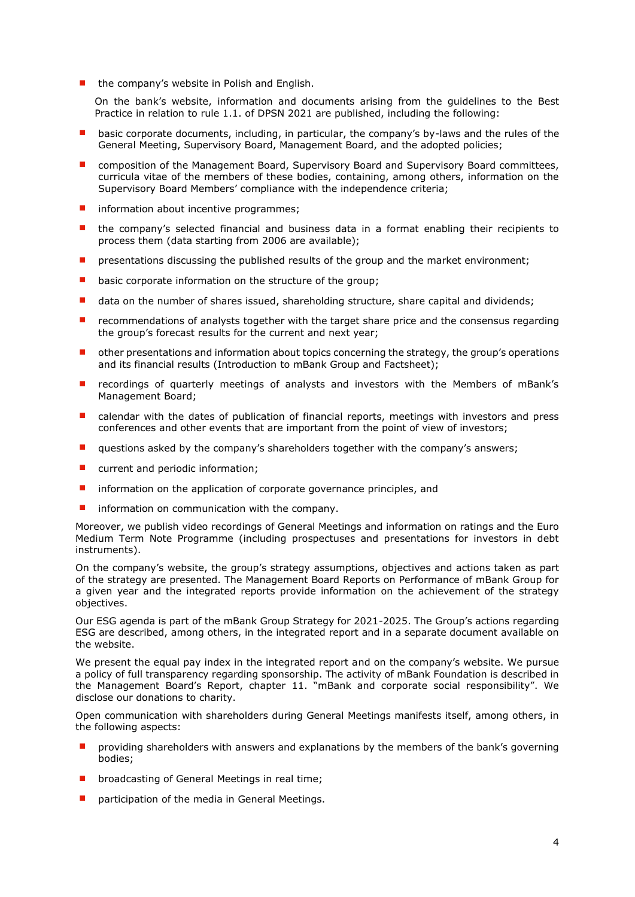■ the company's website in Polish and English.

On the bank's website, information and documents arising from the guidelines to the Best Practice in relation to rule 1.1. of DPSN 2021 are published, including the following:

- basic corporate documents, including, in particular, the company's by-laws and the rules of the General Meeting, Supervisory Board, Management Board, and the adopted policies;
- composition of the Management Board, Supervisory Board and Supervisory Board committees, curricula vitae of the members of these bodies, containing, among others, information on the Supervisory Board Members' compliance with the independence criteria;
- information about incentive programmes;
- the company's selected financial and business data in a format enabling their recipients to process them (data starting from 2006 are available);
- presentations discussing the published results of the group and the market environment;
- basic corporate information on the structure of the group;
- data on the number of shares issued, shareholding structure, share capital and dividends;
- recommendations of analysts together with the target share price and the consensus regarding the group's forecast results for the current and next year;
- other presentations and information about topics concerning the strategy, the group's operations and its financial results (Introduction to mBank Group and Factsheet);
- recordings of quarterly meetings of analysts and investors with the Members of mBank's Management Board;
- calendar with the dates of publication of financial reports, meetings with investors and press conferences and other events that are important from the point of view of investors;
- questions asked by the company's shareholders together with the company's answers;
- current and periodic information;
- information on the application of corporate governance principles, and
- information on communication with the company.

Moreover, we publish video recordings of General Meetings and information on ratings and the Euro Medium Term Note Programme (including prospectuses and presentations for investors in debt instruments).

On the company's website, the group's strategy assumptions, objectives and actions taken as part of the strategy are presented. The Management Board Reports on Performance of mBank Group for a given year and the integrated reports provide information on the achievement of the strategy objectives.

Our ESG agenda is part of the mBank Group Strategy for 2021-2025. The Group's actions regarding ESG are described, among others, in the integrated report and in a separate document available on the website.

We present the equal pay index in the integrated report and on the company's website. We pursue a policy of full transparency regarding sponsorship. The activity of mBank Foundation is described in the Management Board's Report, chapter 11. "mBank and corporate social responsibility". We disclose our donations to charity.

Open communication with shareholders during General Meetings manifests itself, among others, in the following aspects:

- providing shareholders with answers and explanations by the members of the bank's governing bodies;
- broadcasting of General Meetings in real time;
- participation of the media in General Meetings.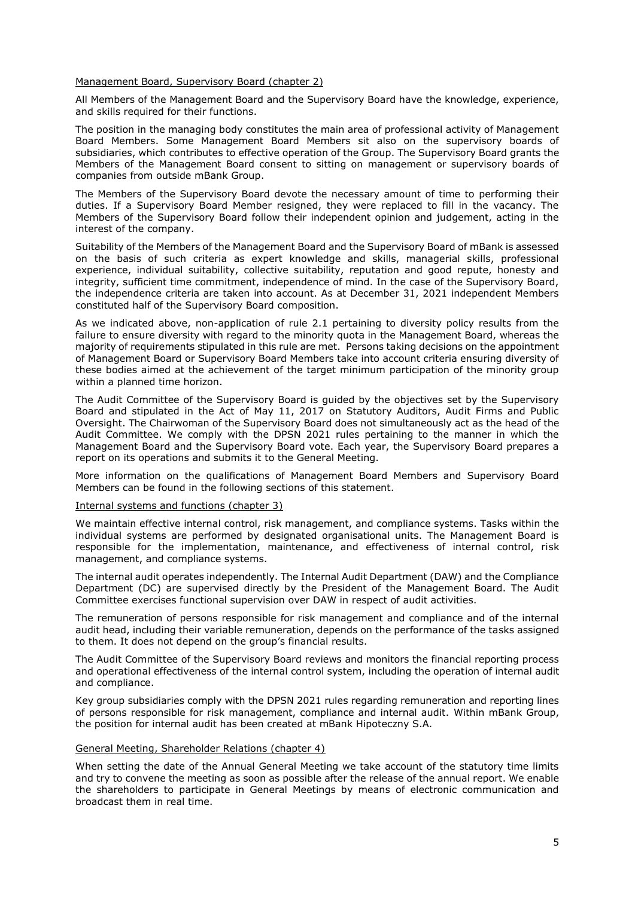## Management Board, Supervisory Board (chapter 2)

All Members of the Management Board and the Supervisory Board have the knowledge, experience, and skills required for their functions.

The position in the managing body constitutes the main area of professional activity of Management Board Members. Some Management Board Members sit also on the supervisory boards of subsidiaries, which contributes to effective operation of the Group. The Supervisory Board grants the Members of the Management Board consent to sitting on management or supervisory boards of companies from outside mBank Group.

The Members of the Supervisory Board devote the necessary amount of time to performing their duties. If a Supervisory Board Member resigned, they were replaced to fill in the vacancy. The Members of the Supervisory Board follow their independent opinion and judgement, acting in the interest of the company.

Suitability of the Members of the Management Board and the Supervisory Board of mBank is assessed on the basis of such criteria as expert knowledge and skills, managerial skills, professional experience, individual suitability, collective suitability, reputation and good repute, honesty and integrity, sufficient time commitment, independence of mind. In the case of the Supervisory Board, the independence criteria are taken into account. As at December 31, 2021 independent Members constituted half of the Supervisory Board composition.

As we indicated above, non-application of rule 2.1 pertaining to diversity policy results from the failure to ensure diversity with regard to the minority quota in the Management Board, whereas the majority of requirements stipulated in this rule are met. Persons taking decisions on the appointment of Management Board or Supervisory Board Members take into account criteria ensuring diversity of these bodies aimed at the achievement of the target minimum participation of the minority group within a planned time horizon.

The Audit Committee of the Supervisory Board is guided by the objectives set by the Supervisory Board and stipulated in the Act of May 11, 2017 on Statutory Auditors, Audit Firms and Public Oversight. The Chairwoman of the Supervisory Board does not simultaneously act as the head of the Audit Committee. We comply with the DPSN 2021 rules pertaining to the manner in which the Management Board and the Supervisory Board vote. Each year, the Supervisory Board prepares a report on its operations and submits it to the General Meeting.

More information on the qualifications of Management Board Members and Supervisory Board Members can be found in the following sections of this statement.

#### Internal systems and functions (chapter 3)

We maintain effective internal control, risk management, and compliance systems. Tasks within the individual systems are performed by designated organisational units. The Management Board is responsible for the implementation, maintenance, and effectiveness of internal control, risk management, and compliance systems.

The internal audit operates independently. The Internal Audit Department (DAW) and the Compliance Department (DC) are supervised directly by the President of the Management Board. The Audit Committee exercises functional supervision over DAW in respect of audit activities.

The remuneration of persons responsible for risk management and compliance and of the internal audit head, including their variable remuneration, depends on the performance of the tasks assigned to them. It does not depend on the group's financial results.

The Audit Committee of the Supervisory Board reviews and monitors the financial reporting process and operational effectiveness of the internal control system, including the operation of internal audit and compliance.

Key group subsidiaries comply with the DPSN 2021 rules regarding remuneration and reporting lines of persons responsible for risk management, compliance and internal audit. Within mBank Group, the position for internal audit has been created at mBank Hipoteczny S.A.

# General Meeting, Shareholder Relations (chapter 4)

When setting the date of the Annual General Meeting we take account of the statutory time limits and try to convene the meeting as soon as possible after the release of the annual report. We enable the shareholders to participate in General Meetings by means of electronic communication and broadcast them in real time.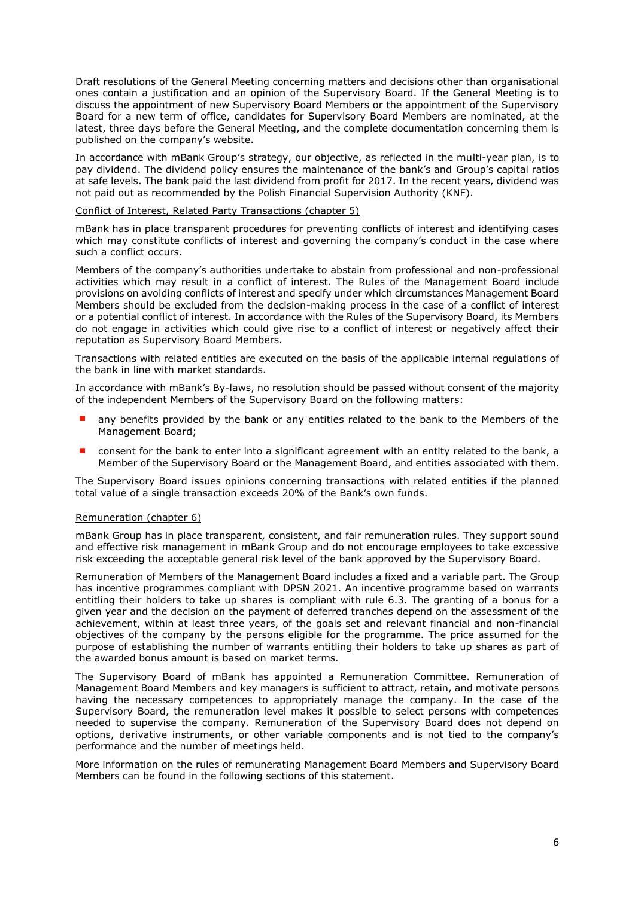Draft resolutions of the General Meeting concerning matters and decisions other than organisational ones contain a justification and an opinion of the Supervisory Board. If the General Meeting is to discuss the appointment of new Supervisory Board Members or the appointment of the Supervisory Board for a new term of office, candidates for Supervisory Board Members are nominated, at the latest, three days before the General Meeting, and the complete documentation concerning them is published on the company's website.

In accordance with mBank Group's strategy, our objective, as reflected in the multi-year plan, is to pay dividend. The dividend policy ensures the maintenance of the bank's and Group's capital ratios at safe levels. The bank paid the last dividend from profit for 2017. In the recent years, dividend was not paid out as recommended by the Polish Financial Supervision Authority (KNF).

#### Conflict of Interest, Related Party Transactions (chapter 5)

mBank has in place transparent procedures for preventing conflicts of interest and identifying cases which may constitute conflicts of interest and governing the company's conduct in the case where such a conflict occurs.

Members of the company's authorities undertake to abstain from professional and non-professional activities which may result in a conflict of interest. The Rules of the Management Board include provisions on avoiding conflicts of interest and specify under which circumstances Management Board Members should be excluded from the decision-making process in the case of a conflict of interest or a potential conflict of interest. In accordance with the Rules of the Supervisory Board, its Members do not engage in activities which could give rise to a conflict of interest or negatively affect their reputation as Supervisory Board Members.

Transactions with related entities are executed on the basis of the applicable internal regulations of the bank in line with market standards.

In accordance with mBank's By-laws, no resolution should be passed without consent of the majority of the independent Members of the Supervisory Board on the following matters:

- any benefits provided by the bank or any entities related to the bank to the Members of the Management Board;
- consent for the bank to enter into a significant agreement with an entity related to the bank, a Member of the Supervisory Board or the Management Board, and entities associated with them.

The Supervisory Board issues opinions concerning transactions with related entities if the planned total value of a single transaction exceeds 20% of the Bank's own funds.

# Remuneration (chapter 6)

mBank Group has in place transparent, consistent, and fair remuneration rules. They support sound and effective risk management in mBank Group and do not encourage employees to take excessive risk exceeding the acceptable general risk level of the bank approved by the Supervisory Board.

Remuneration of Members of the Management Board includes a fixed and a variable part. The Group has incentive programmes compliant with DPSN 2021. An incentive programme based on warrants entitling their holders to take up shares is compliant with rule 6.3. The granting of a bonus for a given year and the decision on the payment of deferred tranches depend on the assessment of the achievement, within at least three years, of the goals set and relevant financial and non-financial objectives of the company by the persons eligible for the programme. The price assumed for the purpose of establishing the number of warrants entitling their holders to take up shares as part of the awarded bonus amount is based on market terms.

The Supervisory Board of mBank has appointed a Remuneration Committee. Remuneration of Management Board Members and key managers is sufficient to attract, retain, and motivate persons having the necessary competences to appropriately manage the company. In the case of the Supervisory Board, the remuneration level makes it possible to select persons with competences needed to supervise the company. Remuneration of the Supervisory Board does not depend on options, derivative instruments, or other variable components and is not tied to the company's performance and the number of meetings held.

More information on the rules of remunerating Management Board Members and Supervisory Board Members can be found in the following sections of this statement.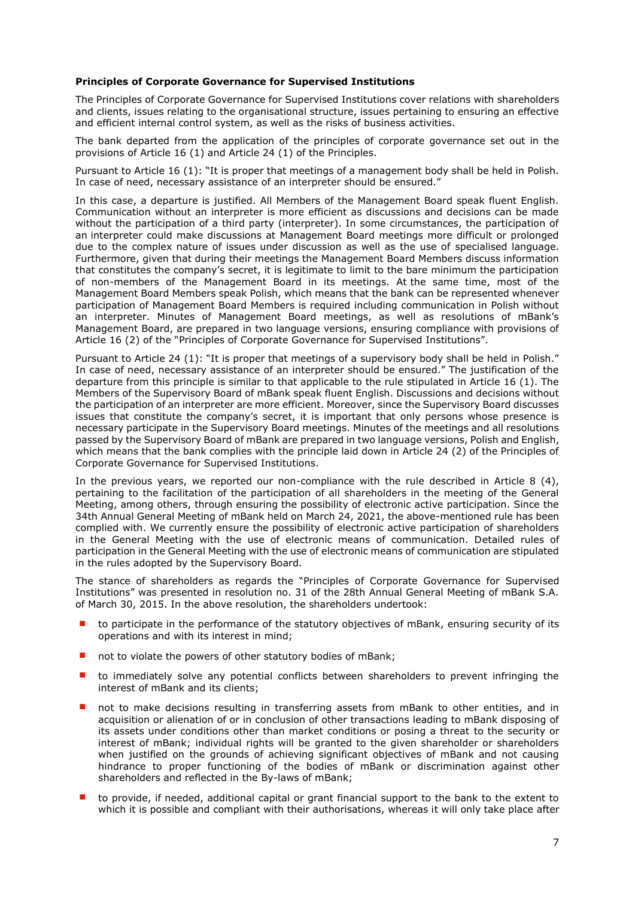# <span id="page-6-0"></span>**Principles of Corporate Governance for Supervised Institutions**

The Principles of Corporate Governance for Supervised Institutions cover relations with shareholders and clients, issues relating to the organisational structure, issues pertaining to ensuring an effective and efficient internal control system, as well as the risks of business activities.

The bank departed from the application of the principles of corporate governance set out in the provisions of Article 16 (1) and Article 24 (1) of the Principles.

Pursuant to Article 16 (1): "It is proper that meetings of a management body shall be held in Polish. In case of need, necessary assistance of an interpreter should be ensured."

In this case, a departure is justified. All Members of the Management Board speak fluent English. Communication without an interpreter is more efficient as discussions and decisions can be made without the participation of a third party (interpreter). In some circumstances, the participation of an interpreter could make discussions at Management Board meetings more difficult or prolonged due to the complex nature of issues under discussion as well as the use of specialised language. Furthermore, given that during their meetings the Management Board Members discuss information that constitutes the company's secret, it is legitimate to limit to the bare minimum the participation of non-members of the Management Board in its meetings. At the same time, most of the Management Board Members speak Polish, which means that the bank can be represented whenever participation of Management Board Members is required including communication in Polish without an interpreter. Minutes of Management Board meetings, as well as resolutions of mBank's Management Board, are prepared in two language versions, ensuring compliance with provisions of Article 16 (2) of the "Principles of Corporate Governance for Supervised Institutions".

Pursuant to Article 24 (1): "It is proper that meetings of a supervisory body shall be held in Polish." In case of need, necessary assistance of an interpreter should be ensured." The justification of the departure from this principle is similar to that applicable to the rule stipulated in Article 16 (1). The Members of the Supervisory Board of mBank speak fluent English. Discussions and decisions without the participation of an interpreter are more efficient. Moreover, since the Supervisory Board discusses issues that constitute the company's secret, it is important that only persons whose presence is necessary participate in the Supervisory Board meetings. Minutes of the meetings and all resolutions passed by the Supervisory Board of mBank are prepared in two language versions, Polish and English, which means that the bank complies with the principle laid down in Article 24 (2) of the Principles of Corporate Governance for Supervised Institutions.

In the previous years, we reported our non-compliance with the rule described in Article 8 (4), pertaining to the facilitation of the participation of all shareholders in the meeting of the General Meeting, among others, through ensuring the possibility of electronic active participation. Since the 34th Annual General Meeting of mBank held on March 24, 2021, the above-mentioned rule has been complied with. We currently ensure the possibility of electronic active participation of shareholders in the General Meeting with the use of electronic means of communication. Detailed rules of participation in the General Meeting with the use of electronic means of communication are stipulated in the rules adopted by the Supervisory Board.

The stance of shareholders as regards the "Principles of Corporate Governance for Supervised Institutions" was presented in resolution no. 31 of the 28th Annual General Meeting of mBank S.A. of March 30, 2015. In the above resolution, the shareholders undertook:

- to participate in the performance of the statutory objectives of mBank, ensuring security of its operations and with its interest in mind;
- not to violate the powers of other statutory bodies of mBank;
- to immediately solve any potential conflicts between shareholders to prevent infringing the interest of mBank and its clients;
- not to make decisions resulting in transferring assets from mBank to other entities, and in acquisition or alienation of or in conclusion of other transactions leading to mBank disposing of its assets under conditions other than market conditions or posing a threat to the security or interest of mBank; individual rights will be granted to the given shareholder or shareholders when justified on the grounds of achieving significant objectives of mBank and not causing hindrance to proper functioning of the bodies of mBank or discrimination against other shareholders and reflected in the By-laws of mBank;
- to provide, if needed, additional capital or grant financial support to the bank to the extent to which it is possible and compliant with their authorisations, whereas it will only take place after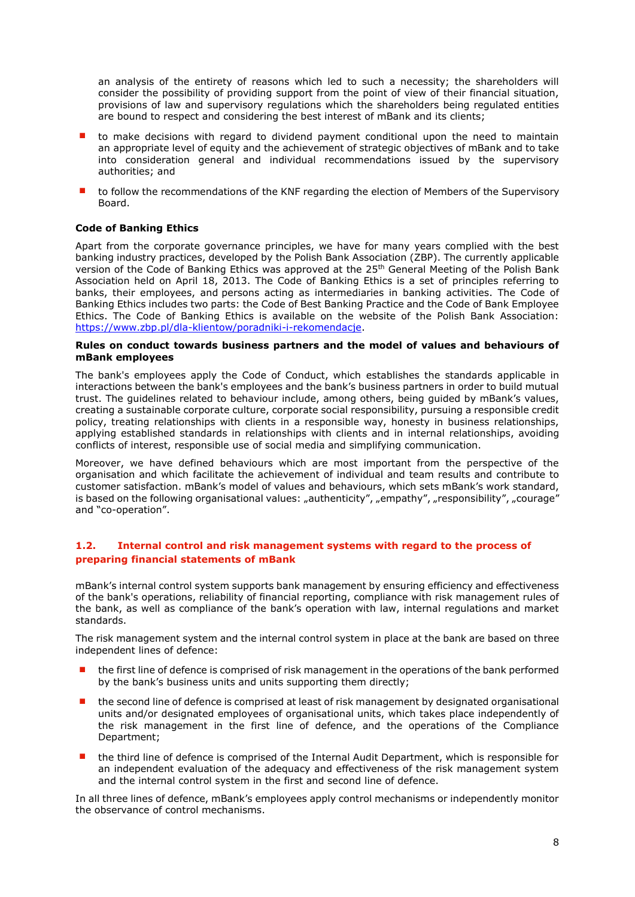an analysis of the entirety of reasons which led to such a necessity; the shareholders will consider the possibility of providing support from the point of view of their financial situation, provisions of law and supervisory regulations which the shareholders being regulated entities are bound to respect and considering the best interest of mBank and its clients;

- to make decisions with regard to dividend payment conditional upon the need to maintain an appropriate level of equity and the achievement of strategic objectives of mBank and to take into consideration general and individual recommendations issued by the supervisory authorities; and
- to follow the recommendations of the KNF regarding the election of Members of the Supervisory Board.

# <span id="page-7-0"></span>**Code of Banking Ethics**

Apart from the corporate governance principles, we have for many years complied with the best banking industry practices, developed by the Polish Bank Association (ZBP). The currently applicable version of the Code of Banking Ethics was approved at the 25<sup>th</sup> General Meeting of the Polish Bank Association held on April 18, 2013. The Code of Banking Ethics is a set of principles referring to banks, their employees, and persons acting as intermediaries in banking activities. The Code of Banking Ethics includes two parts: the Code of Best Banking Practice and the Code of Bank Employee Ethics. The Code of Banking Ethics is available on the website of the Polish Bank Association: [https://www.zbp.pl/dla-klientow/poradniki-i-rekomendacje.](https://www.zbp.pl/dla-klientow/poradniki-i-rekomendacje)

## <span id="page-7-1"></span>**Rules on conduct towards business partners and the model of values and behaviours of mBank employees**

The bank's employees apply the Code of Conduct, which establishes the standards applicable in interactions between the bank's employees and the bank's business partners in order to build mutual trust. The guidelines related to behaviour include, among others, being guided by mBank's values, creating a sustainable corporate culture, corporate social responsibility, pursuing a responsible credit policy, treating relationships with clients in a responsible way, honesty in business relationships, applying established standards in relationships with clients and in internal relationships, avoiding conflicts of interest, responsible use of social media and simplifying communication.

Moreover, we have defined behaviours which are most important from the perspective of the organisation and which facilitate the achievement of individual and team results and contribute to customer satisfaction. mBank's model of values and behaviours, which sets mBank's work standard, is based on the following organisational values: "authenticity", "empathy", "responsibility", "courage" and "co-operation".

# <span id="page-7-2"></span>**1.2. Internal control and risk management systems with regard to the process of preparing financial statements of mBank**

mBank's internal control system supports bank management by ensuring efficiency and effectiveness of the bank's operations, reliability of financial reporting, compliance with risk management rules of the bank, as well as compliance of the bank's operation with law, internal regulations and market standards.

The risk management system and the internal control system in place at the bank are based on three independent lines of defence:

- the first line of defence is comprised of risk management in the operations of the bank performed by the bank's business units and units supporting them directly;
- the second line of defence is comprised at least of risk management by designated organisational units and/or designated employees of organisational units, which takes place independently of the risk management in the first line of defence, and the operations of the Compliance Department;
- the third line of defence is comprised of the Internal Audit Department, which is responsible for an independent evaluation of the adequacy and effectiveness of the risk management system and the internal control system in the first and second line of defence.

In all three lines of defence, mBank's employees apply control mechanisms or independently monitor the observance of control mechanisms.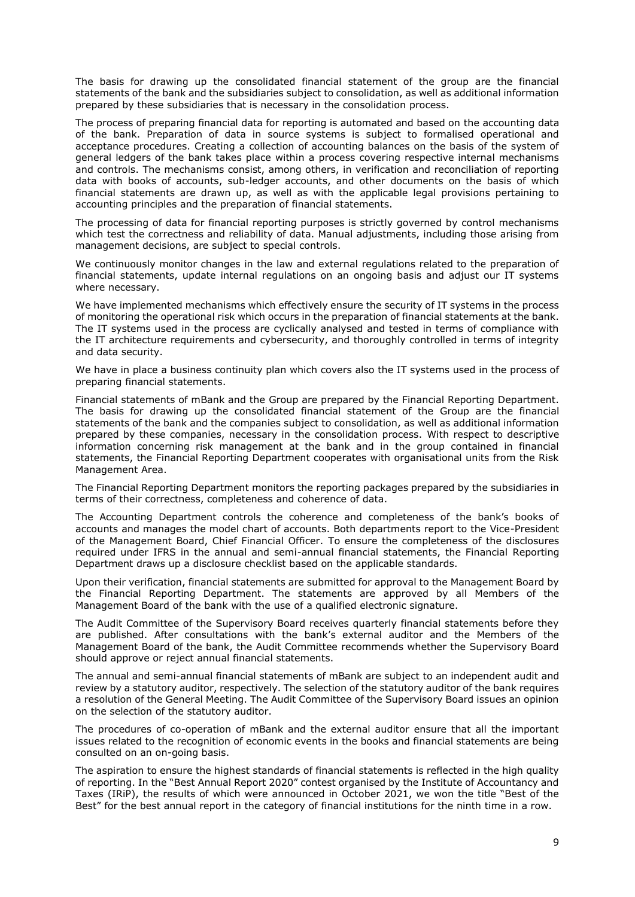The basis for drawing up the consolidated financial statement of the group are the financial statements of the bank and the subsidiaries subject to consolidation, as well as additional information prepared by these subsidiaries that is necessary in the consolidation process.

The process of preparing financial data for reporting is automated and based on the accounting data of the bank. Preparation of data in source systems is subject to formalised operational and acceptance procedures. Creating a collection of accounting balances on the basis of the system of general ledgers of the bank takes place within a process covering respective internal mechanisms and controls. The mechanisms consist, among others, in verification and reconciliation of reporting data with books of accounts, sub-ledger accounts, and other documents on the basis of which financial statements are drawn up, as well as with the applicable legal provisions pertaining to accounting principles and the preparation of financial statements.

The processing of data for financial reporting purposes is strictly governed by control mechanisms which test the correctness and reliability of data. Manual adjustments, including those arising from management decisions, are subject to special controls.

We continuously monitor changes in the law and external regulations related to the preparation of financial statements, update internal regulations on an ongoing basis and adjust our IT systems where necessary.

We have implemented mechanisms which effectively ensure the security of IT systems in the process of monitoring the operational risk which occurs in the preparation of financial statements at the bank. The IT systems used in the process are cyclically analysed and tested in terms of compliance with the IT architecture requirements and cybersecurity, and thoroughly controlled in terms of integrity and data security.

We have in place a business continuity plan which covers also the IT systems used in the process of preparing financial statements.

Financial statements of mBank and the Group are prepared by the Financial Reporting Department. The basis for drawing up the consolidated financial statement of the Group are the financial statements of the bank and the companies subject to consolidation, as well as additional information prepared by these companies, necessary in the consolidation process. With respect to descriptive information concerning risk management at the bank and in the group contained in financial statements, the Financial Reporting Department cooperates with organisational units from the Risk Management Area.

The Financial Reporting Department monitors the reporting packages prepared by the subsidiaries in terms of their correctness, completeness and coherence of data.

The Accounting Department controls the coherence and completeness of the bank's books of accounts and manages the model chart of accounts. Both departments report to the Vice-President of the Management Board, Chief Financial Officer. To ensure the completeness of the disclosures required under IFRS in the annual and semi-annual financial statements, the Financial Reporting Department draws up a disclosure checklist based on the applicable standards.

Upon their verification, financial statements are submitted for approval to the Management Board by the Financial Reporting Department. The statements are approved by all Members of the Management Board of the bank with the use of a qualified electronic signature.

The Audit Committee of the Supervisory Board receives quarterly financial statements before they are published. After consultations with the bank's external auditor and the Members of the Management Board of the bank, the Audit Committee recommends whether the Supervisory Board should approve or reject annual financial statements.

The annual and semi-annual financial statements of mBank are subject to an independent audit and review by a statutory auditor, respectively. The selection of the statutory auditor of the bank requires a resolution of the General Meeting. The Audit Committee of the Supervisory Board issues an opinion on the selection of the statutory auditor.

The procedures of co-operation of mBank and the external auditor ensure that all the important issues related to the recognition of economic events in the books and financial statements are being consulted on an on-going basis.

The aspiration to ensure the highest standards of financial statements is reflected in the high quality of reporting. In the "Best Annual Report 2020" contest organised by the Institute of Accountancy and Taxes (IRiP), the results of which were announced in October 2021, we won the title "Best of the Best" for the best annual report in the category of financial institutions for the ninth time in a row.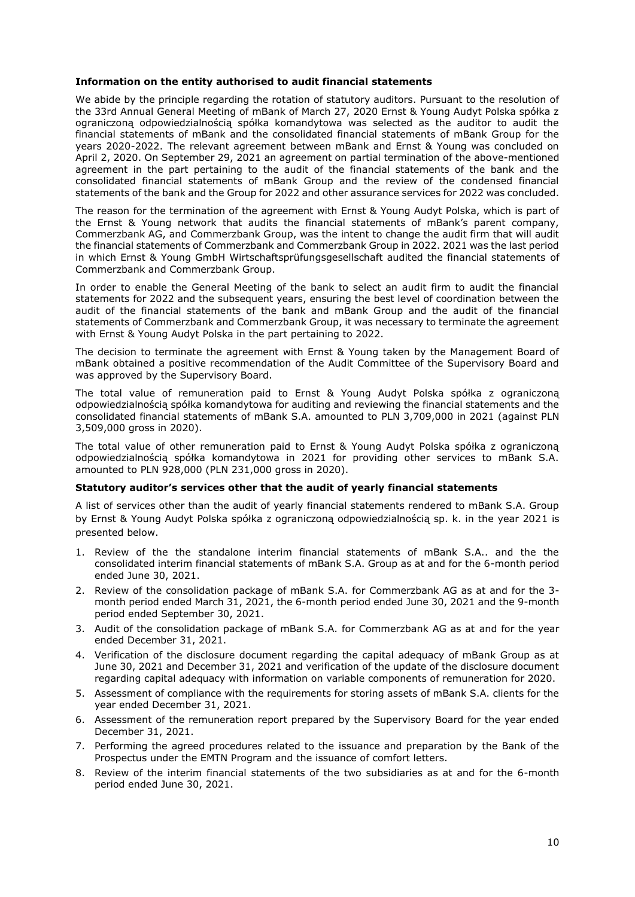# **Information on the entity authorised to audit financial statements**

We abide by the principle regarding the rotation of statutory auditors. Pursuant to the resolution of the 33rd Annual General Meeting of mBank of March 27, 2020 Ernst & Young Audyt Polska spółka z ograniczoną odpowiedzialnością spółka komandytowa was selected as the auditor to audit the financial statements of mBank and the consolidated financial statements of mBank Group for the years 2020-2022. The relevant agreement between mBank and Ernst & Young was concluded on April 2, 2020. On September 29, 2021 an agreement on partial termination of the above-mentioned agreement in the part pertaining to the audit of the financial statements of the bank and the consolidated financial statements of mBank Group and the review of the condensed financial statements of the bank and the Group for 2022 and other assurance services for 2022 was concluded.

The reason for the termination of the agreement with Ernst & Young Audyt Polska, which is part of the Ernst & Young network that audits the financial statements of mBank's parent company, Commerzbank AG, and Commerzbank Group, was the intent to change the audit firm that will audit the financial statements of Commerzbank and Commerzbank Group in 2022. 2021 was the last period in which Ernst & Young GmbH Wirtschaftsprüfungsgesellschaft audited the financial statements of Commerzbank and Commerzbank Group.

In order to enable the General Meeting of the bank to select an audit firm to audit the financial statements for 2022 and the subsequent years, ensuring the best level of coordination between the audit of the financial statements of the bank and mBank Group and the audit of the financial statements of Commerzbank and Commerzbank Group, it was necessary to terminate the agreement with Ernst & Young Audyt Polska in the part pertaining to 2022.

The decision to terminate the agreement with Ernst & Young taken by the Management Board of mBank obtained a positive recommendation of the Audit Committee of the Supervisory Board and was approved by the Supervisory Board.

The total value of remuneration paid to Ernst & Young Audyt Polska spółka z ograniczoną odpowiedzialnością spółka komandytowa for auditing and reviewing the financial statements and the consolidated financial statements of mBank S.A. amounted to PLN 3,709,000 in 2021 (against PLN 3,509,000 gross in 2020).

The total value of other remuneration paid to Ernst & Young Audyt Polska spółka z ograniczoną odpowiedzialnością spółka komandytowa in 2021 for providing other services to mBank S.A. amounted to PLN 928,000 (PLN 231,000 gross in 2020).

# <span id="page-9-0"></span>**Statutory auditor's services other that the audit of yearly financial statements**

A list of services other than the audit of yearly financial statements rendered to mBank S.A. Group by Ernst & Young Audyt Polska spółka z ograniczoną odpowiedzialnością sp. k. in the year 2021 is presented below.

- 1. Review of the the standalone interim financial statements of mBank S.A.. and the the consolidated interim financial statements of mBank S.A. Group as at and for the 6-month period ended June 30, 2021.
- 2. Review of the consolidation package of mBank S.A. for Commerzbank AG as at and for the 3 month period ended March 31, 2021, the 6-month period ended June 30, 2021 and the 9-month period ended September 30, 2021.
- 3. Audit of the consolidation package of mBank S.A. for Commerzbank AG as at and for the year ended December 31, 2021.
- 4. Verification of the disclosure document regarding the capital adequacy of mBank Group as at June 30, 2021 and December 31, 2021 and verification of the update of the disclosure document regarding capital adequacy with information on variable components of remuneration for 2020.
- 5. Assessment of compliance with the requirements for storing assets of mBank S.A. clients for the year ended December 31, 2021.
- 6. Assessment of the remuneration report prepared by the Supervisory Board for the year ended December 31, 2021.
- 7. Performing the agreed procedures related to the issuance and preparation by the Bank of the Prospectus under the EMTN Program and the issuance of comfort letters.
- 8. Review of the interim financial statements of the two subsidiaries as at and for the 6-month period ended June 30, 2021.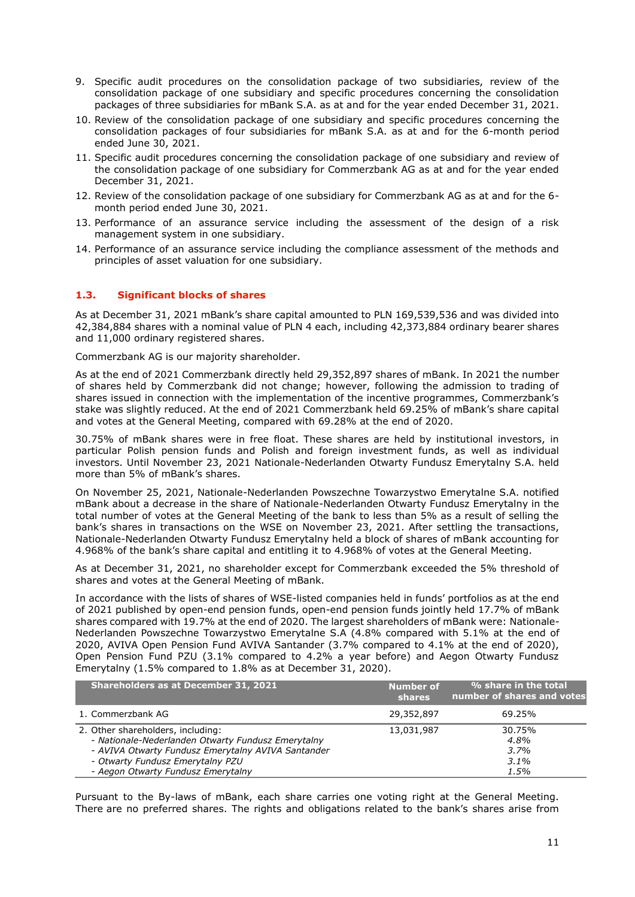- 9. Specific audit procedures on the consolidation package of two subsidiaries, review of the consolidation package of one subsidiary and specific procedures concerning the consolidation packages of three subsidiaries for mBank S.A. as at and for the year ended December 31, 2021.
- 10. Review of the consolidation package of one subsidiary and specific procedures concerning the consolidation packages of four subsidiaries for mBank S.A. as at and for the 6-month period ended June 30, 2021.
- 11. Specific audit procedures concerning the consolidation package of one subsidiary and review of the consolidation package of one subsidiary for Commerzbank AG as at and for the year ended December 31, 2021.
- 12. Review of the consolidation package of one subsidiary for Commerzbank AG as at and for the 6 month period ended June 30, 2021.
- 13. Performance of an assurance service including the assessment of the design of a risk management system in one subsidiary.
- 14. Performance of an assurance service including the compliance assessment of the methods and principles of asset valuation for one subsidiary.

# <span id="page-10-0"></span>**1.3. Significant blocks of shares**

As at December 31, 2021 mBank's share capital amounted to PLN 169,539,536 and was divided into 42,384,884 shares with a nominal value of PLN 4 each, including 42,373,884 ordinary bearer shares and 11,000 ordinary registered shares.

Commerzbank AG is our majority shareholder.

As at the end of 2021 Commerzbank directly held 29,352,897 shares of mBank. In 2021 the number of shares held by Commerzbank did not change; however, following the admission to trading of shares issued in connection with the implementation of the incentive programmes, Commerzbank's stake was slightly reduced. At the end of 2021 Commerzbank held 69.25% of mBank's share capital and votes at the General Meeting, compared with 69.28% at the end of 2020.

30.75% of mBank shares were in free float. These shares are held by institutional investors, in particular Polish pension funds and Polish and foreign investment funds, as well as individual investors. Until November 23, 2021 Nationale-Nederlanden Otwarty Fundusz Emerytalny S.A. held more than 5% of mBank's shares.

On November 25, 2021, Nationale-Nederlanden Powszechne Towarzystwo Emerytalne S.A. notified mBank about a decrease in the share of Nationale-Nederlanden Otwarty Fundusz Emerytalny in the total number of votes at the General Meeting of the bank to less than 5% as a result of selling the bank's shares in transactions on the WSE on November 23, 2021. After settling the transactions, Nationale-Nederlanden Otwarty Fundusz Emerytalny held a block of shares of mBank accounting for 4.968% of the bank's share capital and entitling it to 4.968% of votes at the General Meeting.

As at December 31, 2021, no shareholder except for Commerzbank exceeded the 5% threshold of shares and votes at the General Meeting of mBank.

In accordance with the lists of shares of WSE-listed companies held in funds' portfolios as at the end of 2021 published by open-end pension funds, open-end pension funds jointly held 17.7% of mBank shares compared with 19.7% at the end of 2020. The largest shareholders of mBank were: Nationale-Nederlanden Powszechne Towarzystwo Emerytalne S.A (4.8% compared with 5.1% at the end of 2020, AVIVA Open Pension Fund AVIVA Santander (3.7% compared to 4.1% at the end of 2020), Open Pension Fund PZU (3.1% compared to 4.2% a year before) and Aegon Otwarty Fundusz Emerytalny (1.5% compared to 1.8% as at December 31, 2020).

| Shareholders as at December 31, 2021                                                                                                                                                                                    | <b>Number of</b><br><b>shares</b> | % share in the total<br>number of shares and votes |
|-------------------------------------------------------------------------------------------------------------------------------------------------------------------------------------------------------------------------|-----------------------------------|----------------------------------------------------|
| 1. Commerzbank AG                                                                                                                                                                                                       | 29,352,897                        | 69.25%                                             |
| 2. Other shareholders, including:<br>- Nationale-Nederlanden Otwarty Fundusz Emerytalny<br>- AVIVA Otwarty Fundusz Emerytalny AVIVA Santander<br>- Otwarty Fundusz Emerytalny PZU<br>- Aegon Otwarty Fundusz Emerytalny | 13,031,987                        | 30.75%<br>4.8%<br>3.7%<br>$3.1\%$<br>$1.5\%$       |

Pursuant to the By-laws of mBank, each share carries one voting right at the General Meeting. There are no preferred shares. The rights and obligations related to the bank's shares arise from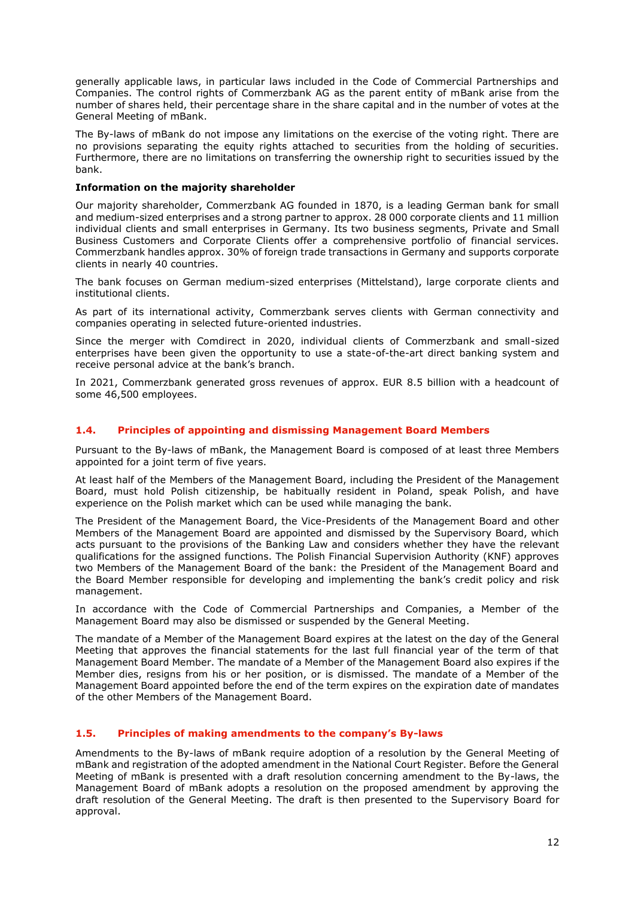generally applicable laws, in particular laws included in the Code of Commercial Partnerships and Companies. The control rights of Commerzbank AG as the parent entity of mBank arise from the number of shares held, their percentage share in the share capital and in the number of votes at the General Meeting of mBank.

The By-laws of mBank do not impose any limitations on the exercise of the voting right. There are no provisions separating the equity rights attached to securities from the holding of securities. Furthermore, there are no limitations on transferring the ownership right to securities issued by the bank.

# <span id="page-11-0"></span>**Information on the majority shareholder**

Our majority shareholder, Commerzbank AG founded in 1870, is a leading German bank for small and medium-sized enterprises and a strong partner to approx. 28 000 corporate clients and 11 million individual clients and small enterprises in Germany. Its two business segments, Private and Small Business Customers and Corporate Clients offer a comprehensive portfolio of financial services. Commerzbank handles approx. 30% of foreign trade transactions in Germany and supports corporate clients in nearly 40 countries.

The bank focuses on German medium-sized enterprises (Mittelstand), large corporate clients and institutional clients.

As part of its international activity, Commerzbank serves clients with German connectivity and companies operating in selected future-oriented industries.

Since the merger with Comdirect in 2020, individual clients of Commerzbank and small-sized enterprises have been given the opportunity to use a state-of-the-art direct banking system and receive personal advice at the bank's branch.

In 2021, Commerzbank generated gross revenues of approx. EUR 8.5 billion with a headcount of some 46,500 employees.

# <span id="page-11-1"></span>**1.4. Principles of appointing and dismissing Management Board Members**

Pursuant to the By-laws of mBank, the Management Board is composed of at least three Members appointed for a joint term of five years.

At least half of the Members of the Management Board, including the President of the Management Board, must hold Polish citizenship, be habitually resident in Poland, speak Polish, and have experience on the Polish market which can be used while managing the bank.

The President of the Management Board, the Vice-Presidents of the Management Board and other Members of the Management Board are appointed and dismissed by the Supervisory Board, which acts pursuant to the provisions of the Banking Law and considers whether they have the relevant qualifications for the assigned functions. The Polish Financial Supervision Authority (KNF) approves two Members of the Management Board of the bank: the President of the Management Board and the Board Member responsible for developing and implementing the bank's credit policy and risk management.

In accordance with the Code of Commercial Partnerships and Companies, a Member of the Management Board may also be dismissed or suspended by the General Meeting.

The mandate of a Member of the Management Board expires at the latest on the day of the General Meeting that approves the financial statements for the last full financial year of the term of that Management Board Member. The mandate of a Member of the Management Board also expires if the Member dies, resigns from his or her position, or is dismissed. The mandate of a Member of the Management Board appointed before the end of the term expires on the expiration date of mandates of the other Members of the Management Board.

# <span id="page-11-2"></span>**1.5. Principles of making amendments to the company's By-laws**

Amendments to the By-laws of mBank require adoption of a resolution by the General Meeting of mBank and registration of the adopted amendment in the National Court Register. Before the General Meeting of mBank is presented with a draft resolution concerning amendment to the By-laws, the Management Board of mBank adopts a resolution on the proposed amendment by approving the draft resolution of the General Meeting. The draft is then presented to the Supervisory Board for approval.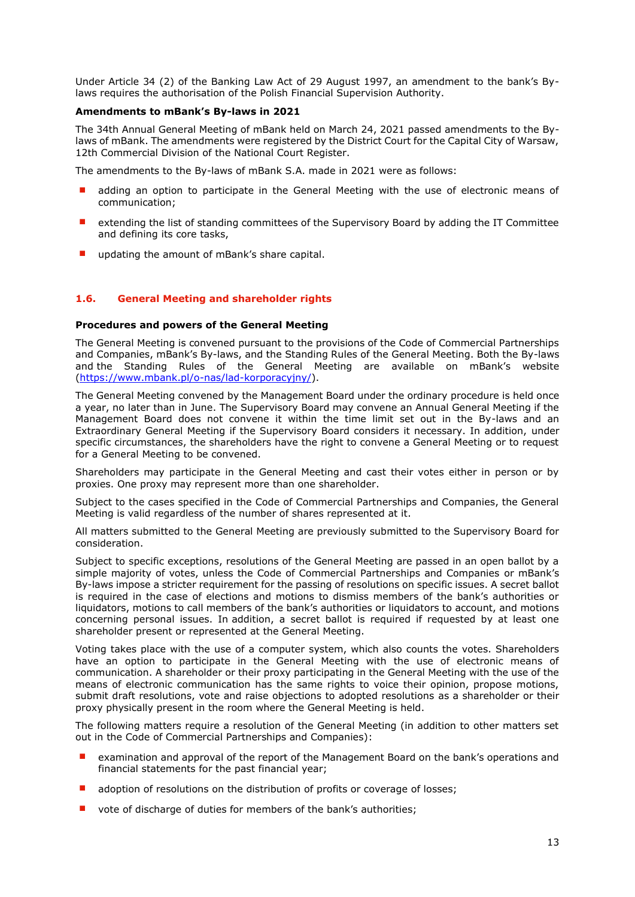Under Article 34 (2) of the Banking Law Act of 29 August 1997, an amendment to the bank's Bylaws requires the authorisation of the Polish Financial Supervision Authority.

# <span id="page-12-0"></span>**Amendments to mBank's By-laws in 2021**

The 34th Annual General Meeting of mBank held on March 24, 2021 passed amendments to the Bylaws of mBank. The amendments were registered by the District Court for the Capital City of Warsaw, 12th Commercial Division of the National Court Register.

The amendments to the By-laws of mBank S.A. made in 2021 were as follows:

- adding an option to participate in the General Meeting with the use of electronic means of communication;
- extending the list of standing committees of the Supervisory Board by adding the IT Committee and defining its core tasks,
- updating the amount of mBank's share capital.

# <span id="page-12-1"></span>**1.6. General Meeting and shareholder rights**

## **Procedures and powers of the General Meeting**

The General Meeting is convened pursuant to the provisions of the Code of Commercial Partnerships and Companies, mBank's By-laws, and the Standing Rules of the General Meeting. Both the By-laws and the Standing Rules of the General Meeting are available on mBank's website [\(https://www.mbank.pl/o-nas/lad-korporacyjny/\)](https://www.mbank.pl/o-nas/lad-korporacyjny/).

The General Meeting convened by the Management Board under the ordinary procedure is held once a year, no later than in June. The Supervisory Board may convene an Annual General Meeting if the Management Board does not convene it within the time limit set out in the By-laws and an Extraordinary General Meeting if the Supervisory Board considers it necessary. In addition, under specific circumstances, the shareholders have the right to convene a General Meeting or to request for a General Meeting to be convened.

Shareholders may participate in the General Meeting and cast their votes either in person or by proxies. One proxy may represent more than one shareholder.

Subject to the cases specified in the Code of Commercial Partnerships and Companies, the General Meeting is valid regardless of the number of shares represented at it.

All matters submitted to the General Meeting are previously submitted to the Supervisory Board for consideration.

Subject to specific exceptions, resolutions of the General Meeting are passed in an open ballot by a simple majority of votes, unless the Code of Commercial Partnerships and Companies or mBank's By-laws impose a stricter requirement for the passing of resolutions on specific issues. A secret ballot is required in the case of elections and motions to dismiss members of the bank's authorities or liquidators, motions to call members of the bank's authorities or liquidators to account, and motions concerning personal issues. In addition, a secret ballot is required if requested by at least one shareholder present or represented at the General Meeting.

Voting takes place with the use of a computer system, which also counts the votes. Shareholders have an option to participate in the General Meeting with the use of electronic means of communication. A shareholder or their proxy participating in the General Meeting with the use of the means of electronic communication has the same rights to voice their opinion, propose motions, submit draft resolutions, vote and raise objections to adopted resolutions as a shareholder or their proxy physically present in the room where the General Meeting is held.

The following matters require a resolution of the General Meeting (in addition to other matters set out in the Code of Commercial Partnerships and Companies):

- examination and approval of the report of the Management Board on the bank's operations and financial statements for the past financial year;
- adoption of resolutions on the distribution of profits or coverage of losses;
- vote of discharge of duties for members of the bank's authorities;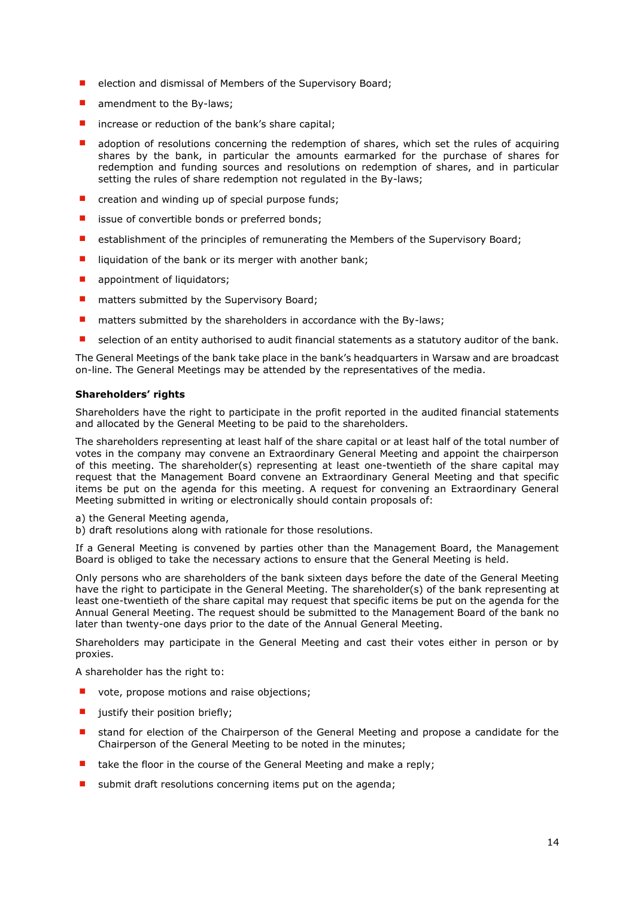- election and dismissal of Members of the Supervisory Board;
- amendment to the By-laws;
- increase or reduction of the bank's share capital;
- adoption of resolutions concerning the redemption of shares, which set the rules of acquiring shares by the bank, in particular the amounts earmarked for the purchase of shares for redemption and funding sources and resolutions on redemption of shares, and in particular setting the rules of share redemption not regulated in the By-laws;
- creation and winding up of special purpose funds;
- issue of convertible bonds or preferred bonds;
- establishment of the principles of remunerating the Members of the Supervisory Board;
- liquidation of the bank or its merger with another bank;
- appointment of liquidators;
- matters submitted by the Supervisory Board;
- matters submitted by the shareholders in accordance with the By-laws;
- selection of an entity authorised to audit financial statements as a statutory auditor of the bank.

The General Meetings of the bank take place in the bank's headquarters in Warsaw and are broadcast on-line. The General Meetings may be attended by the representatives of the media.

# <span id="page-13-0"></span>**Shareholders' rights**

Shareholders have the right to participate in the profit reported in the audited financial statements and allocated by the General Meeting to be paid to the shareholders.

The shareholders representing at least half of the share capital or at least half of the total number of votes in the company may convene an Extraordinary General Meeting and appoint the chairperson of this meeting. The shareholder(s) representing at least one-twentieth of the share capital may request that the Management Board convene an Extraordinary General Meeting and that specific items be put on the agenda for this meeting. A request for convening an Extraordinary General Meeting submitted in writing or electronically should contain proposals of:

a) the General Meeting agenda,

b) draft resolutions along with rationale for those resolutions.

If a General Meeting is convened by parties other than the Management Board, the Management Board is obliged to take the necessary actions to ensure that the General Meeting is held.

Only persons who are shareholders of the bank sixteen days before the date of the General Meeting have the right to participate in the General Meeting. The shareholder(s) of the bank representing at least one-twentieth of the share capital may request that specific items be put on the agenda for the Annual General Meeting. The request should be submitted to the Management Board of the bank no later than twenty-one days prior to the date of the Annual General Meeting.

Shareholders may participate in the General Meeting and cast their votes either in person or by proxies.

A shareholder has the right to:

- vote, propose motions and raise objections;
- justify their position briefly;
- stand for election of the Chairperson of the General Meeting and propose a candidate for the Chairperson of the General Meeting to be noted in the minutes;
- take the floor in the course of the General Meeting and make a reply;
- submit draft resolutions concerning items put on the agenda;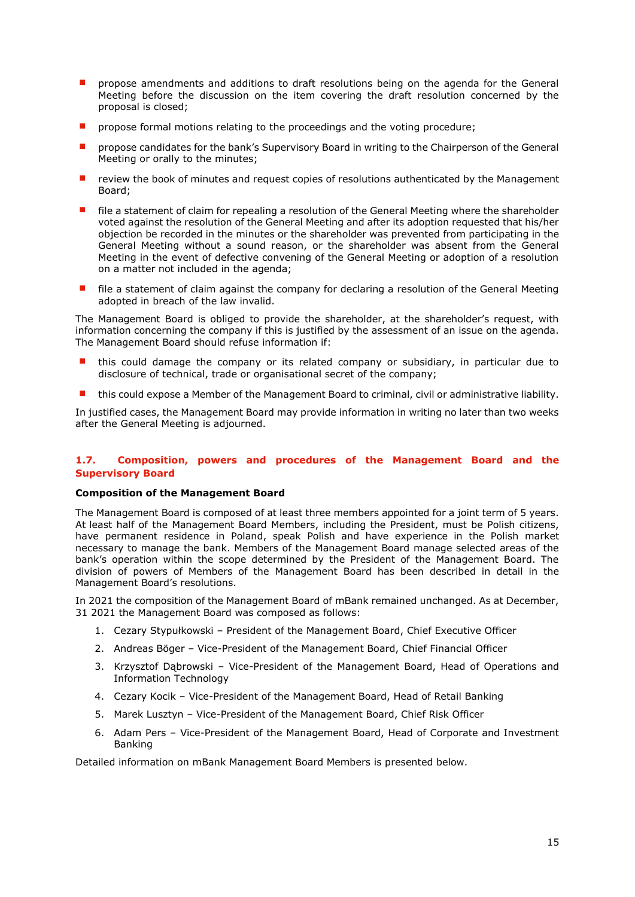- propose amendments and additions to draft resolutions being on the agenda for the General Meeting before the discussion on the item covering the draft resolution concerned by the proposal is closed;
- propose formal motions relating to the proceedings and the voting procedure;
- propose candidates for the bank's Supervisory Board in writing to the Chairperson of the General Meeting or orally to the minutes;
- review the book of minutes and request copies of resolutions authenticated by the Management Board;
- file a statement of claim for repealing a resolution of the General Meeting where the shareholder voted against the resolution of the General Meeting and after its adoption requested that his/her objection be recorded in the minutes or the shareholder was prevented from participating in the General Meeting without a sound reason, or the shareholder was absent from the General Meeting in the event of defective convening of the General Meeting or adoption of a resolution on a matter not included in the agenda;
- file a statement of claim against the company for declaring a resolution of the General Meeting adopted in breach of the law invalid.

The Management Board is obliged to provide the shareholder, at the shareholder's request, with information concerning the company if this is justified by the assessment of an issue on the agenda. The Management Board should refuse information if:

- this could damage the company or its related company or subsidiary, in particular due to disclosure of technical, trade or organisational secret of the company;
- this could expose a Member of the Management Board to criminal, civil or administrative liability.

In justified cases, the Management Board may provide information in writing no later than two weeks after the General Meeting is adjourned.

# <span id="page-14-0"></span>**1.7. Composition, powers and procedures of the Management Board and the Supervisory Board**

# <span id="page-14-1"></span>**Composition of the Management Board**

The Management Board is composed of at least three members appointed for a joint term of 5 years. At least half of the Management Board Members, including the President, must be Polish citizens, have permanent residence in Poland, speak Polish and have experience in the Polish market necessary to manage the bank. Members of the Management Board manage selected areas of the bank's operation within the scope determined by the President of the Management Board. The division of powers of Members of the Management Board has been described in detail in the Management Board's resolutions.

In 2021 the composition of the Management Board of mBank remained unchanged. As at December, 31 2021 the Management Board was composed as follows:

- 1. Cezary Stypułkowski President of the Management Board, Chief Executive Officer
- 2. Andreas Böger Vice-President of the Management Board, Chief Financial Officer
- 3. Krzysztof Dąbrowski Vice-President of the Management Board, Head of Operations and Information Technology
- 4. Cezary Kocik Vice-President of the Management Board, Head of Retail Banking
- 5. Marek Lusztyn Vice-President of the Management Board, Chief Risk Officer
- 6. Adam Pers Vice-President of the Management Board, Head of Corporate and Investment Banking

Detailed information on mBank Management Board Members is presented below.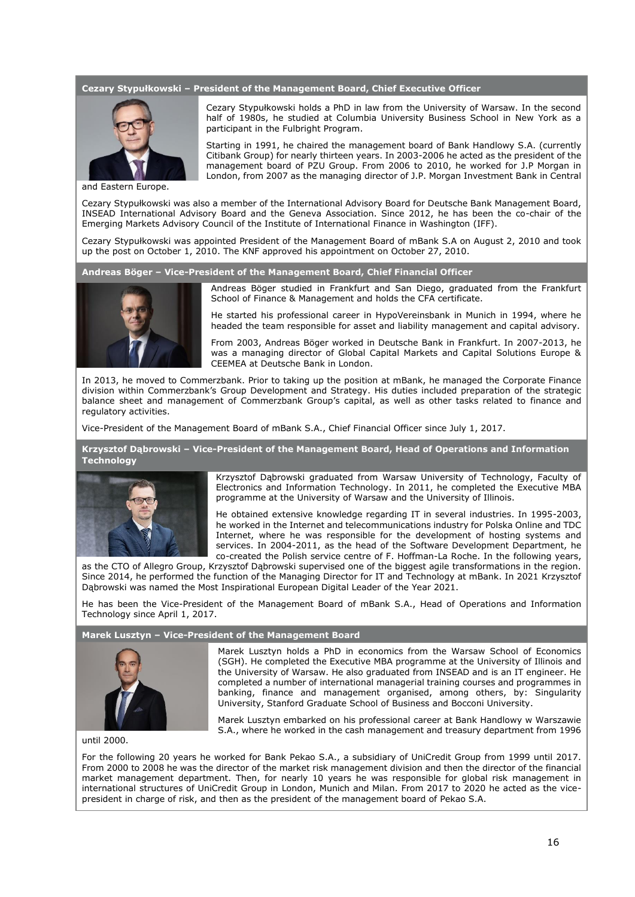#### **Cezary Stypułkowski – President of the Management Board, Chief Executive Officer**



and Eastern Europe.

Cezary Stypułkowski holds a PhD in law from the University of Warsaw. In the second half of 1980s, he studied at Columbia University Business School in New York as a participant in the Fulbright Program.

Starting in 1991, he chaired the management board of Bank Handlowy S.A. (currently Citibank Group) for nearly thirteen years. In 2003-2006 he acted as the president of the management board of PZU Group. From 2006 to 2010, he worked for J.P Morgan in London, from 2007 as the managing director of J.P. Morgan Investment Bank in Central

Cezary Stypułkowski was also a member of the International Advisory Board for Deutsche Bank Management Board, INSEAD International Advisory Board and the Geneva Association. Since 2012, he has been the co-chair of the Emerging Markets Advisory Council of the Institute of International Finance in Washington (IFF).

Cezary Stypułkowski was appointed President of the Management Board of mBank S.A on August 2, 2010 and took up the post on October 1, 2010. The KNF approved his appointment on October 27, 2010.

**Andreas Böger – Vice-President of the Management Board, Chief Financial Officer**



Andreas Böger studied in Frankfurt and San Diego, graduated from the Frankfurt School of Finance & Management and holds the CFA certificate.

He started his professional career in HypoVereinsbank in Munich in 1994, where he headed the team responsible for asset and liability management and capital advisory.

From 2003, Andreas Böger worked in Deutsche Bank in Frankfurt. In 2007-2013, he was a managing director of Global Capital Markets and Capital Solutions Europe & CEEMEA at Deutsche Bank in London.

In 2013, he moved to Commerzbank. Prior to taking up the position at mBank, he managed the Corporate Finance division within Commerzbank's Group Development and Strategy. His duties included preparation of the strategic balance sheet and management of Commerzbank Group's capital, as well as other tasks related to finance and regulatory activities.

Vice-President of the Management Board of mBank S.A., Chief Financial Officer since July 1, 2017.

**Krzysztof Dąbrowski – Vice-President of the Management Board, Head of Operations and Information Technology**



Krzysztof Dąbrowski graduated from Warsaw University of Technology, Faculty of Electronics and Information Technology. In 2011, he completed the Executive MBA programme at the University of Warsaw and the University of Illinois.

He obtained extensive knowledge regarding IT in several industries. In 1995-2003, he worked in the Internet and telecommunications industry for Polska Online and TDC Internet, where he was responsible for the development of hosting systems and services. In 2004-2011, as the head of the Software Development Department, he co-created the Polish service centre of F. Hoffman-La Roche. In the following years,

as the CTO of Allegro Group, Krzysztof Dąbrowski supervised one of the biggest agile transformations in the region. Since 2014, he performed the function of the Managing Director for IT and Technology at mBank. In 2021 Krzysztof Dąbrowski was named the Most Inspirational European Digital Leader of the Year 2021.

He has been the Vice-President of the Management Board of mBank S.A., Head of Operations and Information Technology since April 1, 2017.

#### **Marek Lusztyn – Vice-President of the Management Board**



Marek Lusztyn holds a PhD in economics from the Warsaw School of Economics (SGH). He completed the Executive MBA programme at the University of Illinois and the University of Warsaw. He also graduated from INSEAD and is an IT engineer. He completed a number of international managerial training courses and programmes in banking, finance and management organised, among others, by: Singularity University, Stanford Graduate School of Business and Bocconi University.

Marek Lusztyn embarked on his professional career at Bank Handlowy w Warszawie S.A., where he worked in the cash management and treasury department from 1996

until 2000.

For the following 20 years he worked for Bank Pekao S.A., a subsidiary of UniCredit Group from 1999 until 2017. From 2000 to 2008 he was the director of the market risk management division and then the director of the financial market management department. Then, for nearly 10 years he was responsible for global risk management in international structures of UniCredit Group in London, Munich and Milan. From 2017 to 2020 he acted as the vicepresident in charge of risk, and then as the president of the management board of Pekao S.A.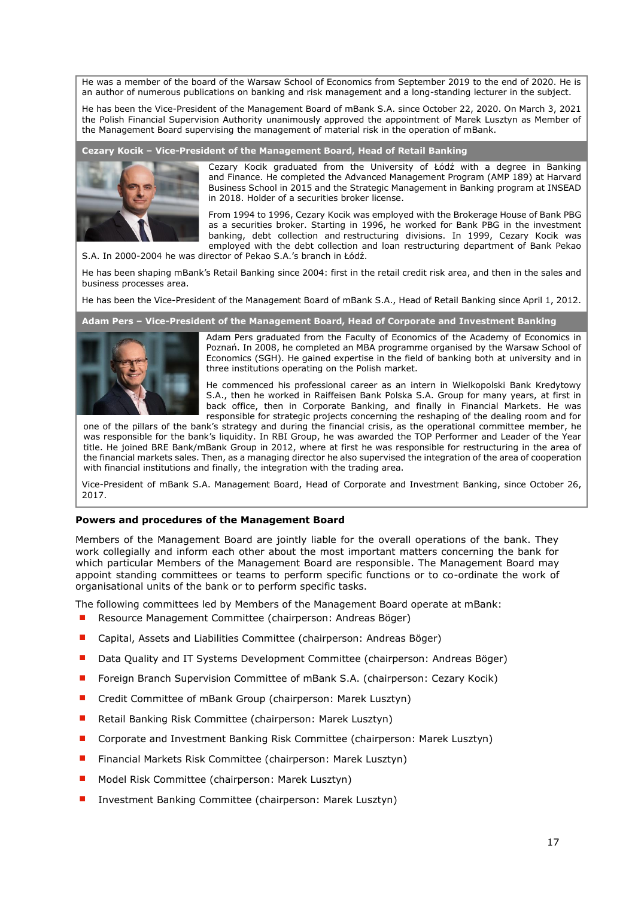He was a member of the board of the Warsaw School of Economics from September 2019 to the end of 2020. He is an author of numerous publications on banking and risk management and a long-standing lecturer in the subject.

He has been the Vice-President of the Management Board of mBank S.A. since October 22, 2020. On March 3, 2021 the Polish Financial Supervision Authority unanimously approved the appointment of Marek Lusztyn as Member of the Management Board supervising the management of material risk in the operation of mBank.

**Cezary Kocik – Vice-President of the Management Board, Head of Retail Banking**



Cezary Kocik graduated from the University of Łódź with a degree in Banking and Finance. He completed the Advanced Management Program (AMP 189) at Harvard Business School in 2015 and the Strategic Management in Banking program at INSEAD in 2018. Holder of a securities broker license.

From 1994 to 1996, Cezary Kocik was employed with the Brokerage House of Bank PBG as a securities broker. Starting in 1996, he worked for Bank PBG in the investment banking, debt collection and restructuring divisions. In 1999, Cezary Kocik was employed with the debt collection and loan restructuring department of Bank Pekao

S.A. In 2000-2004 he was director of Pekao S.A.'s branch in Łódź.

He has been shaping mBank's Retail Banking since 2004: first in the retail credit risk area, and then in the sales and business processes area.

He has been the Vice-President of the Management Board of mBank S.A., Head of Retail Banking since April 1, 2012.

#### **Adam Pers – Vice-President of the Management Board, Head of Corporate and Investment Banking**



Adam Pers graduated from the Faculty of Economics of the Academy of Economics in Poznań. In 2008, he completed an MBA programme organised by the Warsaw School of Economics (SGH). He gained expertise in the field of banking both at university and in three institutions operating on the Polish market.

He commenced his professional career as an intern in Wielkopolski Bank Kredytowy S.A., then he worked in Raiffeisen Bank Polska S.A. Group for many years, at first in back office, then in Corporate Banking, and finally in Financial Markets. He was responsible for strategic projects concerning the reshaping of the dealing room and for

one of the pillars of the bank's strategy and during the financial crisis, as the operational committee member, he was responsible for the bank's liquidity. In RBI Group, he was awarded the TOP Performer and Leader of the Year title. He joined BRE Bank/mBank Group in 2012, where at first he was responsible for restructuring in the area of the financial markets sales. Then, as a managing director he also supervised the integration of the area of cooperation with financial institutions and finally, the integration with the trading area.

Vice-President of mBank S.A. Management Board, Head of Corporate and Investment Banking, since October 26, 2017.

# <span id="page-16-0"></span>**Powers and procedures of the Management Board**

Members of the Management Board are jointly liable for the overall operations of the bank. They work collegially and inform each other about the most important matters concerning the bank for which particular Members of the Management Board are responsible. The Management Board may appoint standing committees or teams to perform specific functions or to co-ordinate the work of organisational units of the bank or to perform specific tasks.

The following committees led by Members of the Management Board operate at mBank:

- Resource Management Committee (chairperson: Andreas Böger)
- Capital, Assets and Liabilities Committee (chairperson: Andreas Böger)
- Data Quality and IT Systems Development Committee (chairperson: Andreas Böger)
- Foreign Branch Supervision Committee of mBank S.A. (chairperson: Cezary Kocik)
- Credit Committee of mBank Group (chairperson: Marek Lusztyn)
- Retail Banking Risk Committee (chairperson: Marek Lusztyn)
- Corporate and Investment Banking Risk Committee (chairperson: Marek Lusztyn)
- Financial Markets Risk Committee (chairperson: Marek Lusztyn)
- Model Risk Committee (chairperson: Marek Lusztyn)
- Investment Banking Committee (chairperson: Marek Lusztyn)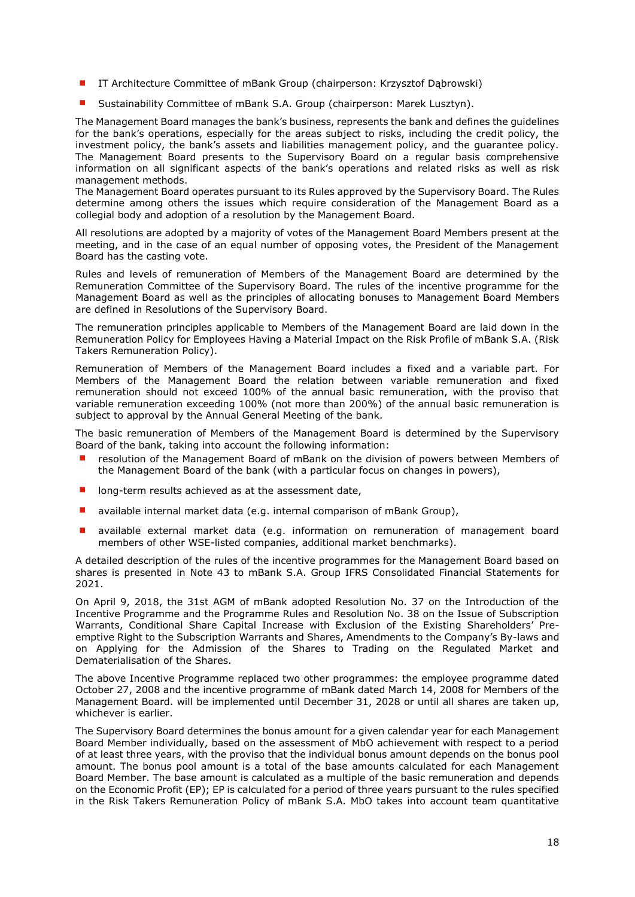- IT Architecture Committee of mBank Group (chairperson: Krzysztof Dąbrowski)
- Sustainability Committee of mBank S.A. Group (chairperson: Marek Lusztyn).

The Management Board manages the bank's business, represents the bank and defines the guidelines for the bank's operations, especially for the areas subject to risks, including the credit policy, the investment policy, the bank's assets and liabilities management policy, and the guarantee policy. The Management Board presents to the Supervisory Board on a regular basis comprehensive information on all significant aspects of the bank's operations and related risks as well as risk management methods.

The Management Board operates pursuant to its Rules approved by the Supervisory Board. The Rules determine among others the issues which require consideration of the Management Board as a collegial body and adoption of a resolution by the Management Board.

All resolutions are adopted by a majority of votes of the Management Board Members present at the meeting, and in the case of an equal number of opposing votes, the President of the Management Board has the casting vote.

Rules and levels of remuneration of Members of the Management Board are determined by the Remuneration Committee of the Supervisory Board. The rules of the incentive programme for the Management Board as well as the principles of allocating bonuses to Management Board Members are defined in Resolutions of the Supervisory Board.

The remuneration principles applicable to Members of the Management Board are laid down in the Remuneration Policy for Employees Having a Material Impact on the Risk Profile of mBank S.A. (Risk Takers Remuneration Policy).

Remuneration of Members of the Management Board includes a fixed and a variable part. For Members of the Management Board the relation between variable remuneration and fixed remuneration should not exceed 100% of the annual basic remuneration, with the proviso that variable remuneration exceeding 100% (not more than 200%) of the annual basic remuneration is subject to approval by the Annual General Meeting of the bank.

The basic remuneration of Members of the Management Board is determined by the Supervisory Board of the bank, taking into account the following information:

- resolution of the Management Board of mBank on the division of powers between Members of the Management Board of the bank (with a particular focus on changes in powers),
- long-term results achieved as at the assessment date,
- available internal market data (e.g. internal comparison of mBank Group),
- available external market data (e.g. information on remuneration of management board members of other WSE-listed companies, additional market benchmarks).

A detailed description of the rules of the incentive programmes for the Management Board based on shares is presented in Note 43 to mBank S.A. Group IFRS Consolidated Financial Statements for 2021.

On April 9, 2018, the 31st AGM of mBank adopted Resolution No. 37 on the Introduction of the Incentive Programme and the Programme Rules and Resolution No. 38 on the Issue of Subscription Warrants, Conditional Share Capital Increase with Exclusion of the Existing Shareholders' Preemptive Right to the Subscription Warrants and Shares, Amendments to the Company's By-laws and on Applying for the Admission of the Shares to Trading on the Regulated Market and Dematerialisation of the Shares.

The above Incentive Programme replaced two other programmes: the employee programme dated October 27, 2008 and the incentive programme of mBank dated March 14, 2008 for Members of the Management Board. will be implemented until December 31, 2028 or until all shares are taken up, whichever is earlier.

The Supervisory Board determines the bonus amount for a given calendar year for each Management Board Member individually, based on the assessment of MbO achievement with respect to a period of at least three years, with the proviso that the individual bonus amount depends on the bonus pool amount. The bonus pool amount is a total of the base amounts calculated for each Management Board Member. The base amount is calculated as a multiple of the basic remuneration and depends on the Economic Profit (EP); EP is calculated for a period of three years pursuant to the rules specified in the Risk Takers Remuneration Policy of mBank S.A. MbO takes into account team quantitative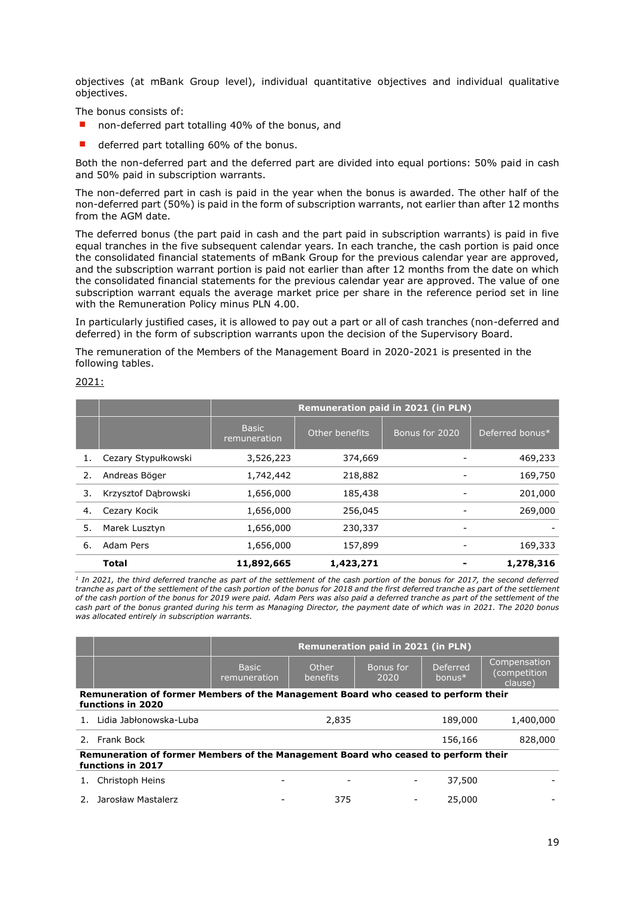objectives (at mBank Group level), individual quantitative objectives and individual qualitative objectives.

The bonus consists of:

- non-deferred part totalling 40% of the bonus, and
- deferred part totalling 60% of the bonus.

Both the non-deferred part and the deferred part are divided into equal portions: 50% paid in cash and 50% paid in subscription warrants.

The non-deferred part in cash is paid in the year when the bonus is awarded. The other half of the non-deferred part (50%) is paid in the form of subscription warrants, not earlier than after 12 months from the AGM date.

The deferred bonus (the part paid in cash and the part paid in subscription warrants) is paid in five equal tranches in the five subsequent calendar years. In each tranche, the cash portion is paid once the consolidated financial statements of mBank Group for the previous calendar year are approved, and the subscription warrant portion is paid not earlier than after 12 months from the date on which the consolidated financial statements for the previous calendar year are approved. The value of one subscription warrant equals the average market price per share in the reference period set in line with the Remuneration Policy minus PLN 4.00.

In particularly justified cases, it is allowed to pay out a part or all of cash tranches (non-deferred and deferred) in the form of subscription warrants upon the decision of the Supervisory Board.

The remuneration of the Members of the Management Board in 2020-2021 is presented in the following tables.

|    |                     | <b>Remuneration paid in 2021 (in PLN)</b> |                |                |                 |
|----|---------------------|-------------------------------------------|----------------|----------------|-----------------|
|    |                     | <b>Basic</b><br>remuneration              | Other benefits | Bonus for 2020 | Deferred bonus* |
| 1. | Cezary Stypułkowski | 3,526,223                                 | 374,669        |                | 469,233         |
| 2. | Andreas Böger       | 1,742,442                                 | 218,882        |                | 169,750         |
| 3. | Krzysztof Dabrowski | 1,656,000                                 | 185,438        |                | 201,000         |
| 4. | Cezary Kocik        | 1,656,000                                 | 256,045        |                | 269,000         |
| 5. | Marek Lusztyn       | 1,656,000                                 | 230,337        |                |                 |
| 6. | Adam Pers           | 1,656,000                                 | 157,899        |                | 169,333         |
|    | <b>Total</b>        | 11,892,665                                | 1,423,271      |                | 1,278,316       |

<sup>1</sup> In 2021, the third deferred tranche as part of the settlement of the cash portion of the bonus for 2017, the second deferred *tranche as part of the settlement of the cash portion of the bonus for 2018 and the first deferred tranche as part of the settlement of the cash portion of the bonus for 2019 were paid. Adam Pers was also paid a deferred tranche as part of the settlement of the cash part of the bonus granted during his term as Managing Director, the payment date of which was in 2021. The 2020 bonus was allocated entirely in subscription warrants.*

|                                                                                                         |                                                                                                         | <b>Remuneration paid in 2021 (in PLN)</b> |                   |                   |                             |                                         |
|---------------------------------------------------------------------------------------------------------|---------------------------------------------------------------------------------------------------------|-------------------------------------------|-------------------|-------------------|-----------------------------|-----------------------------------------|
|                                                                                                         |                                                                                                         | <b>Basic</b><br>remuneration              | Other<br>benefits | Bonus for<br>2020 | <b>Deferred</b><br>$bonus*$ | Compensation<br>(competition<br>clause) |
|                                                                                                         | Remuneration of former Members of the Management Board who ceased to perform their<br>functions in 2020 |                                           |                   |                   |                             |                                         |
|                                                                                                         | Lidia Jabłonowska-Luba                                                                                  |                                           | 2,835             |                   | 189,000                     | 1,400,000                               |
|                                                                                                         | 2. Frank Bock                                                                                           |                                           |                   |                   | 156,166                     | 828,000                                 |
| Remuneration of former Members of the Management Board who ceased to perform their<br>functions in 2017 |                                                                                                         |                                           |                   |                   |                             |                                         |
|                                                                                                         | Christoph Heins                                                                                         |                                           |                   |                   | 37,500                      |                                         |
|                                                                                                         | 2. Jarosław Mastalerz                                                                                   |                                           | 375               |                   | 25,000                      |                                         |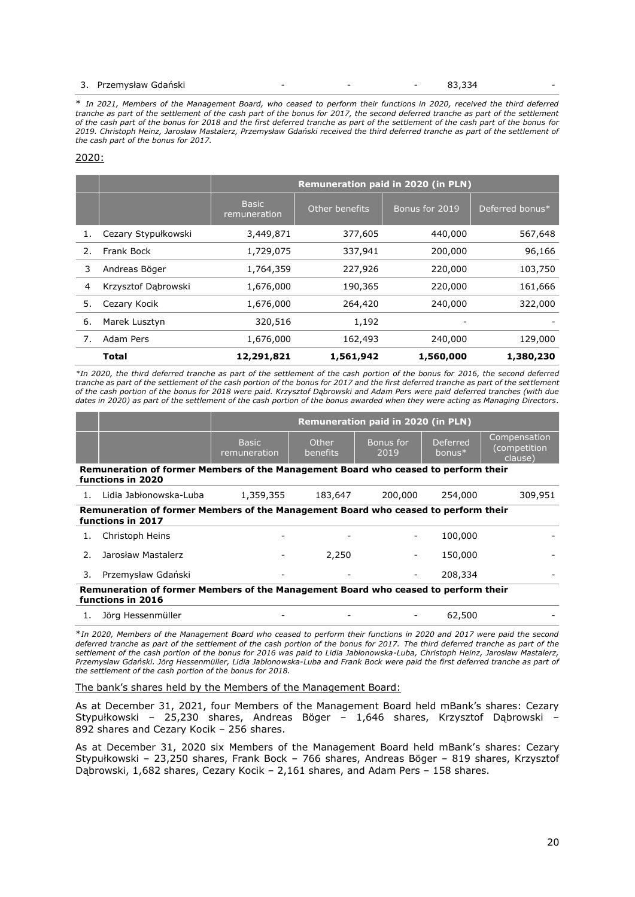#### 3. Przemysław Gdański and anti-struktura - - - - - - - - - 83,334

\* *In 2021, Members of the Management Board, who ceased to perform their functions in 2020, received the third deferred*  tranche as part of the settlement of the cash part of the bonus for 2017, the second deferred tranche as part of the settlement *of the cash part of the bonus for 2018 and the first deferred tranche as part of the settlement of the cash part of the bonus for 2019. Christoph Heinz, Jarosław Mastalerz, Przemysław Gdański received the third deferred tranche as part of the settlement of the cash part of the bonus for 2017.*

#### 2020:

|    |                     | <b>Remuneration paid in 2020 (in PLN)</b> |                |                |                 |
|----|---------------------|-------------------------------------------|----------------|----------------|-----------------|
|    |                     | <b>Basic</b><br>remuneration              | Other benefits | Bonus for 2019 | Deferred bonus* |
| 1. | Cezary Stypułkowski | 3,449,871                                 | 377,605        | 440,000        | 567,648         |
| 2. | Frank Bock          | 1,729,075                                 | 337,941        | 200,000        | 96,166          |
| 3  | Andreas Böger       | 1,764,359                                 | 227,926        | 220,000        | 103,750         |
| 4  | Krzysztof Dąbrowski | 1,676,000                                 | 190,365        | 220,000        | 161,666         |
| 5. | Cezary Kocik        | 1,676,000                                 | 264,420        | 240,000        | 322,000         |
| 6. | Marek Lusztyn       | 320,516                                   | 1,192          |                |                 |
| 7. | Adam Pers           | 1,676,000                                 | 162,493        | 240,000        | 129,000         |
|    | Total               | 12,291,821                                | 1,561,942      | 1,560,000      | 1,380,230       |

*\*In 2020, the third deferred tranche as part of the settlement of the cash portion of the bonus for 2016, the second deferred tranche as part of the settlement of the cash portion of the bonus for 2017 and the first deferred tranche as part of the settlement of the cash portion of the bonus for 2018 were paid. Krzysztof Dąbrowski and Adam Pers were paid deferred tranches (with due dates in 2020) as part of the settlement of the cash portion of the bonus awarded when they were acting as Managing Directors.*

|    |                                                                                                         | <b>Remuneration paid in 2020 (in PLN)</b> |                          |                   |                       |                                         |
|----|---------------------------------------------------------------------------------------------------------|-------------------------------------------|--------------------------|-------------------|-----------------------|-----------------------------------------|
|    |                                                                                                         | <b>Basic</b><br>remuneration              | Other<br><b>benefits</b> | Bonus for<br>2019 | Deferred<br>bonus $*$ | Compensation<br>(competition<br>clause) |
|    | Remuneration of former Members of the Management Board who ceased to perform their<br>functions in 2020 |                                           |                          |                   |                       |                                         |
|    | Lidia Jabłonowska-Luba                                                                                  | 1,359,355                                 | 183,647                  | 200,000           | 254,000               | 309,951                                 |
|    | Remuneration of former Members of the Management Board who ceased to perform their<br>functions in 2017 |                                           |                          |                   |                       |                                         |
|    | Christoph Heins                                                                                         |                                           |                          |                   | 100,000               |                                         |
| 2. | Jarosław Mastalerz                                                                                      |                                           | 2,250                    |                   | 150,000               |                                         |
| 3. | Przemysław Gdański                                                                                      |                                           |                          |                   | 208,334               |                                         |
|    | Remuneration of former Members of the Management Board who ceased to perform their<br>functions in 2016 |                                           |                          |                   |                       |                                         |
|    | Jörg Hessenmüller                                                                                       |                                           |                          |                   | 62,500                |                                         |

\**In 2020, Members of the Management Board who ceased to perform their functions in 2020 and 2017 were paid the second deferred tranche as part of the settlement of the cash portion of the bonus for 2017. The third deferred tranche as part of the settlement of the cash portion of the bonus for 2016 was paid to Lidia Jabłonowska-Luba, Christoph Heinz, Jarosław Mastalerz, Przemysław Gdański. Jörg Hessenmüller, Lidia Jabłonowska-Luba and Frank Bock were paid the first deferred tranche as part of the settlement of the cash portion of the bonus for 2018.*

The bank's shares held by the Members of the Management Board:

As at December 31, 2021, four Members of the Management Board held mBank's shares: Cezary Stypułkowski – 25,230 shares, Andreas Böger – 1,646 shares, Krzysztof Dąbrowski – 892 shares and Cezary Kocik – 256 shares.

As at December 31, 2020 six Members of the Management Board held mBank's shares: Cezary Stypułkowski – 23,250 shares, Frank Bock – 766 shares, Andreas Böger – 819 shares, Krzysztof Dąbrowski, 1,682 shares, Cezary Kocik – 2,161 shares, and Adam Pers – 158 shares.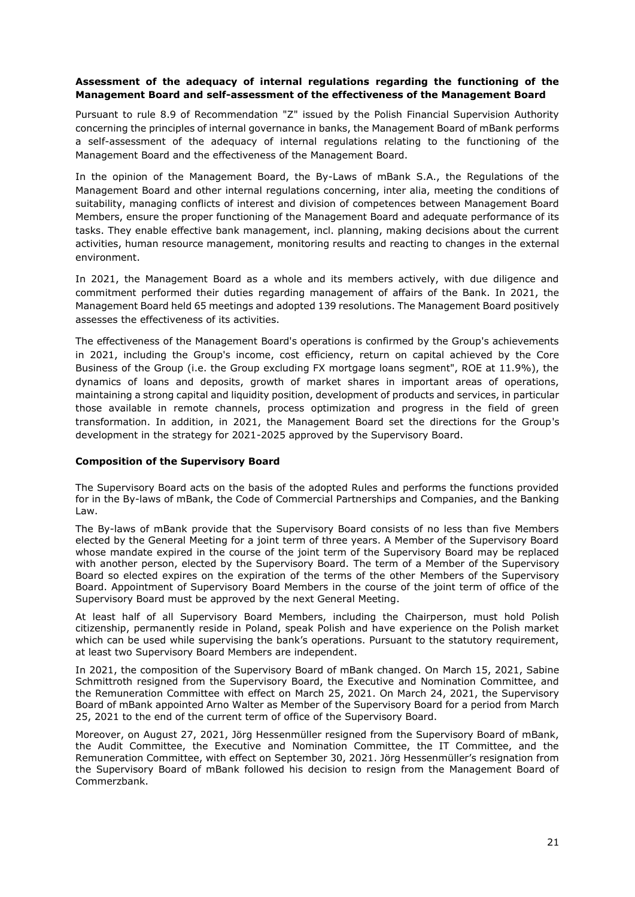# <span id="page-20-0"></span>**Assessment of the adequacy of internal regulations regarding the functioning of the Management Board and self-assessment of the effectiveness of the Management Board**

Pursuant to rule 8.9 of Recommendation "Z" issued by the Polish Financial Supervision Authority concerning the principles of internal governance in banks, the Management Board of mBank performs a self-assessment of the adequacy of internal regulations relating to the functioning of the Management Board and the effectiveness of the Management Board.

In the opinion of the Management Board, the By-Laws of mBank S.A., the Regulations of the Management Board and other internal regulations concerning, inter alia, meeting the conditions of suitability, managing conflicts of interest and division of competences between Management Board Members, ensure the proper functioning of the Management Board and adequate performance of its tasks. They enable effective bank management, incl. planning, making decisions about the current activities, human resource management, monitoring results and reacting to changes in the external environment.

In 2021, the Management Board as a whole and its members actively, with due diligence and commitment performed their duties regarding management of affairs of the Bank. In 2021, the Management Board held 65 meetings and adopted 139 resolutions. The Management Board positively assesses the effectiveness of its activities.

The effectiveness of the Management Board's operations is confirmed by the Group's achievements in 2021, including the Group's income, cost efficiency, return on capital achieved by the Core Business of the Group (i.e. the Group excluding FX mortgage loans segment", ROE at 11.9%), the dynamics of loans and deposits, growth of market shares in important areas of operations, maintaining a strong capital and liquidity position, development of products and services, in particular those available in remote channels, process optimization and progress in the field of green transformation. In addition, in 2021, the Management Board set the directions for the Group's development in the strategy for 2021-2025 approved by the Supervisory Board.

# <span id="page-20-1"></span>**Composition of the Supervisory Board**

The Supervisory Board acts on the basis of the adopted Rules and performs the functions provided for in the By-laws of mBank, the Code of Commercial Partnerships and Companies, and the Banking Law.

The By-laws of mBank provide that the Supervisory Board consists of no less than five Members elected by the General Meeting for a joint term of three years. A Member of the Supervisory Board whose mandate expired in the course of the joint term of the Supervisory Board may be replaced with another person, elected by the Supervisory Board. The term of a Member of the Supervisory Board so elected expires on the expiration of the terms of the other Members of the Supervisory Board. Appointment of Supervisory Board Members in the course of the joint term of office of the Supervisory Board must be approved by the next General Meeting.

At least half of all Supervisory Board Members, including the Chairperson, must hold Polish citizenship, permanently reside in Poland, speak Polish and have experience on the Polish market which can be used while supervising the bank's operations. Pursuant to the statutory requirement, at least two Supervisory Board Members are independent.

In 2021, the composition of the Supervisory Board of mBank changed. On March 15, 2021, Sabine Schmittroth resigned from the Supervisory Board, the Executive and Nomination Committee, and the Remuneration Committee with effect on March 25, 2021. On March 24, 2021, the Supervisory Board of mBank appointed Arno Walter as Member of the Supervisory Board for a period from March 25, 2021 to the end of the current term of office of the Supervisory Board.

Moreover, on August 27, 2021, Jörg Hessenmüller resigned from the Supervisory Board of mBank, the Audit Committee, the Executive and Nomination Committee, the IT Committee, and the Remuneration Committee, with effect on September 30, 2021. Jörg Hessenmüller's resignation from the Supervisory Board of mBank followed his decision to resign from the Management Board of Commerzbank.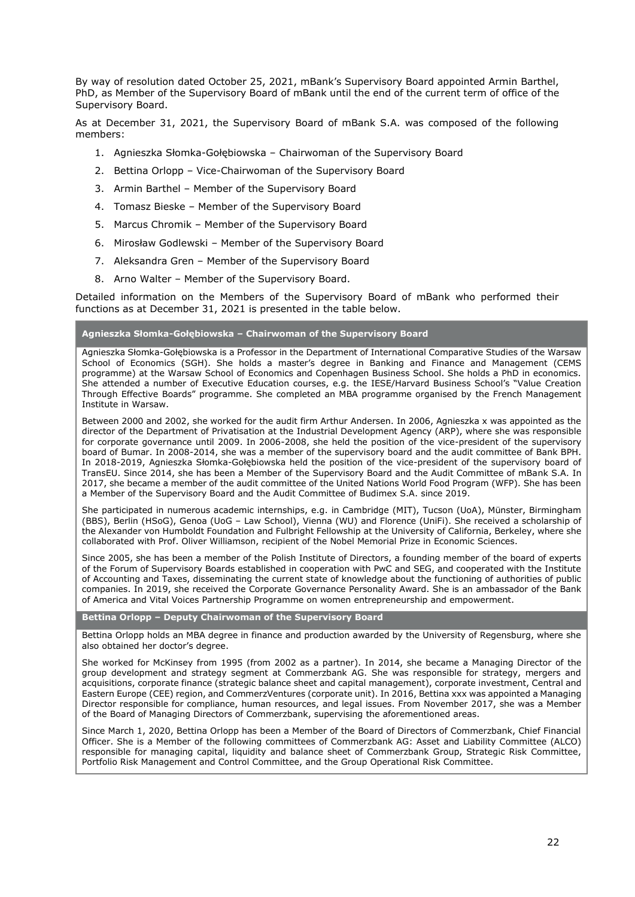By way of resolution dated October 25, 2021, mBank's Supervisory Board appointed Armin Barthel, PhD, as Member of the Supervisory Board of mBank until the end of the current term of office of the Supervisory Board.

As at December 31, 2021, the Supervisory Board of mBank S.A. was composed of the following members:

- 1. Agnieszka Słomka-Gołębiowska Chairwoman of the Supervisory Board
- 2. Bettina Orlopp Vice-Chairwoman of the Supervisory Board
- 3. Armin Barthel Member of the Supervisory Board
- 4. Tomasz Bieske Member of the Supervisory Board
- 5. Marcus Chromik Member of the Supervisory Board
- 6. Mirosław Godlewski Member of the Supervisory Board
- 7. Aleksandra Gren Member of the Supervisory Board
- 8. Arno Walter Member of the Supervisory Board.

Detailed information on the Members of the Supervisory Board of mBank who performed their functions as at December 31, 2021 is presented in the table below.

#### **Agnieszka Słomka-Gołębiowska – Chairwoman of the Supervisory Board**

Agnieszka Słomka-Gołębiowska is a Professor in the Department of International Comparative Studies of the Warsaw School of Economics (SGH). She holds a master's degree in Banking and Finance and Management (CEMS programme) at the Warsaw School of Economics and Copenhagen Business School. She holds a PhD in economics. She attended a number of Executive Education courses, e.g. the IESE/Harvard Business School's "Value Creation Through Effective Boards" programme. She completed an MBA programme organised by the French Management Institute in Warsaw.

Between 2000 and 2002, she worked for the audit firm Arthur Andersen. In 2006, Agnieszka x was appointed as the director of the Department of Privatisation at the Industrial Development Agency (ARP), where she was responsible for corporate governance until 2009. In 2006-2008, she held the position of the vice-president of the supervisory board of Bumar. In 2008-2014, she was a member of the supervisory board and the audit committee of Bank BPH. In 2018-2019, Agnieszka Słomka-Gołębiowska held the position of the vice-president of the supervisory board of TransEU. Since 2014, she has been a Member of the Supervisory Board and the Audit Committee of mBank S.A. In 2017, she became a member of the audit committee of the United Nations World Food Program (WFP). She has been a Member of the Supervisory Board and the Audit Committee of Budimex S.A. since 2019.

She participated in numerous academic internships, e.g. in Cambridge (MIT), Tucson (UoA), Münster, Birmingham (BBS), Berlin (HSoG), Genoa (UoG – Law School), Vienna (WU) and Florence (UniFi). She received a scholarship of the Alexander von Humboldt Foundation and Fulbright Fellowship at the University of California, Berkeley, where she collaborated with Prof. Oliver Williamson, recipient of the Nobel Memorial Prize in Economic Sciences.

Since 2005, she has been a member of the Polish Institute of Directors, a founding member of the board of experts of the Forum of Supervisory Boards established in cooperation with PwC and SEG, and cooperated with the Institute of Accounting and Taxes, disseminating the current state of knowledge about the functioning of authorities of public companies. In 2019, she received the Corporate Governance Personality Award. She is an ambassador of the Bank of America and Vital Voices Partnership Programme on women entrepreneurship and empowerment.

#### **Bettina Orlopp – Deputy Chairwoman of the Supervisory Board**

Bettina Orlopp holds an MBA degree in finance and production awarded by the University of Regensburg, where she also obtained her doctor's degree.

She worked for McKinsey from 1995 (from 2002 as a partner). In 2014, she became a Managing Director of the group development and strategy segment at Commerzbank AG. She was responsible for strategy, mergers and acquisitions, corporate finance (strategic balance sheet and capital management), corporate investment, Central and Eastern Europe (CEE) region, and CommerzVentures (corporate unit). In 2016, Bettina xxx was appointed a Managing Director responsible for compliance, human resources, and legal issues. From November 2017, she was a Member of the Board of Managing Directors of Commerzbank, supervising the aforementioned areas.

Since March 1, 2020, Bettina Orlopp has been a Member of the Board of Directors of Commerzbank, Chief Financial Officer. She is a Member of the following committees of Commerzbank AG: Asset and Liability Committee (ALCO) responsible for managing capital, liquidity and balance sheet of Commerzbank Group, Strategic Risk Committee, Portfolio Risk Management and Control Committee, and the Group Operational Risk Committee.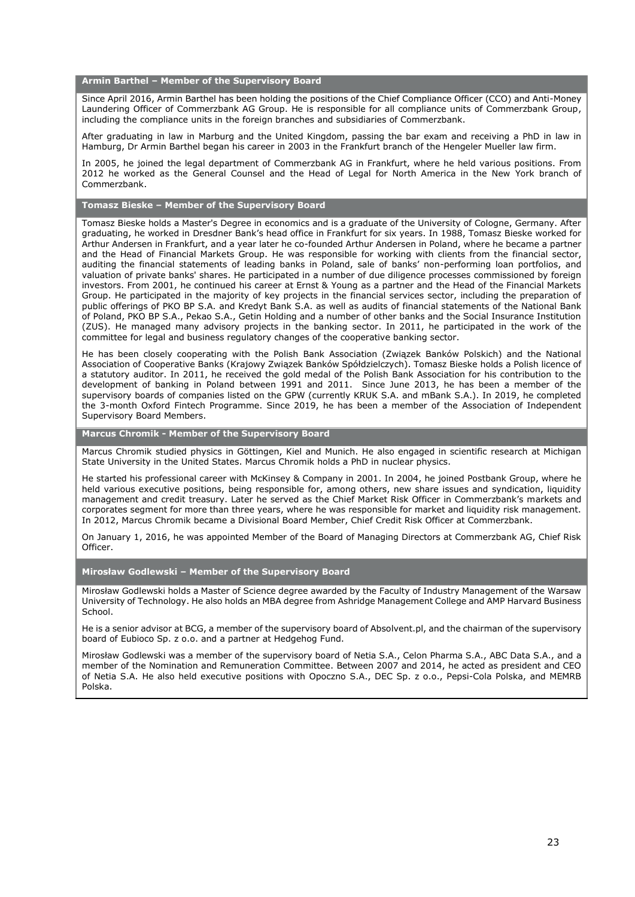**Armin Barthel – Member of the Supervisory Board**

Since April 2016, Armin Barthel has been holding the positions of the Chief Compliance Officer (CCO) and Anti-Money Laundering Officer of Commerzbank AG Group. He is responsible for all compliance units of Commerzbank Group, including the compliance units in the foreign branches and subsidiaries of Commerzbank.

After graduating in law in Marburg and the United Kingdom, passing the bar exam and receiving a PhD in law in Hamburg, Dr Armin Barthel began his career in 2003 in the Frankfurt branch of the Hengeler Mueller law firm.

In 2005, he joined the legal department of Commerzbank AG in Frankfurt, where he held various positions. From 2012 he worked as the General Counsel and the Head of Legal for North America in the New York branch of Commerzbank.

#### **Tomasz Bieske – Member of the Supervisory Board**

Tomasz Bieske holds a Master's Degree in economics and is a graduate of the University of Cologne, Germany. After graduating, he worked in Dresdner Bank's head office in Frankfurt for six years. In 1988, Tomasz Bieske worked for Arthur Andersen in Frankfurt, and a year later he co-founded Arthur Andersen in Poland, where he became a partner and the Head of Financial Markets Group. He was responsible for working with clients from the financial sector, auditing the financial statements of leading banks in Poland, sale of banks' non-performing loan portfolios, and valuation of private banks' shares. He participated in a number of due diligence processes commissioned by foreign investors. From 2001, he continued his career at Ernst & Young as a partner and the Head of the Financial Markets Group. He participated in the majority of key projects in the financial services sector, including the preparation of public offerings of PKO BP S.A. and Kredyt Bank S.A. as well as audits of financial statements of the National Bank of Poland, PKO BP S.A., Pekao S.A., Getin Holding and a number of other banks and the Social Insurance Institution (ZUS). He managed many advisory projects in the banking sector. In 2011, he participated in the work of the committee for legal and business regulatory changes of the cooperative banking sector.

He has been closely cooperating with the Polish Bank Association (Związek Banków Polskich) and the National Association of Cooperative Banks (Krajowy Związek Banków Spółdzielczych). Tomasz Bieske holds a Polish licence of a statutory auditor. In 2011, he received the gold medal of the Polish Bank Association for his contribution to the development of banking in Poland between 1991 and 2011. Since June 2013, he has been a member of the supervisory boards of companies listed on the GPW (currently KRUK S.A. and mBank S.A.). In 2019, he completed the 3-month Oxford Fintech Programme. Since 2019, he has been a member of the Association of Independent Supervisory Board Members.

**Marcus Chromik - Member of the Supervisory Board**

Marcus Chromik studied physics in Göttingen, Kiel and Munich. He also engaged in scientific research at Michigan State University in the United States. Marcus Chromik holds a PhD in nuclear physics.

He started his professional career with McKinsey & Company in 2001. In 2004, he joined Postbank Group, where he held various executive positions, being responsible for, among others, new share issues and syndication, liquidity management and credit treasury. Later he served as the Chief Market Risk Officer in Commerzbank's markets and corporates segment for more than three years, where he was responsible for market and liquidity risk management. In 2012, Marcus Chromik became a Divisional Board Member, Chief Credit Risk Officer at Commerzbank.

On January 1, 2016, he was appointed Member of the Board of Managing Directors at Commerzbank AG, Chief Risk Officer.

#### **Mirosław Godlewski – Member of the Supervisory Board**

Mirosław Godlewski holds a Master of Science degree awarded by the Faculty of Industry Management of the Warsaw University of Technology. He also holds an MBA degree from Ashridge Management College and AMP Harvard Business School.

He is a senior advisor at BCG, a member of the supervisory board of Absolvent.pl, and the chairman of the supervisory board of Eubioco Sp. z o.o. and a partner at Hedgehog Fund.

Mirosław Godlewski was a member of the supervisory board of Netia S.A., Celon Pharma S.A., ABC Data S.A., and a member of the Nomination and Remuneration Committee. Between 2007 and 2014, he acted as president and CEO of Netia S.A. He also held executive positions with Opoczno S.A., DEC Sp. z o.o., Pepsi-Cola Polska, and MEMRB Polska.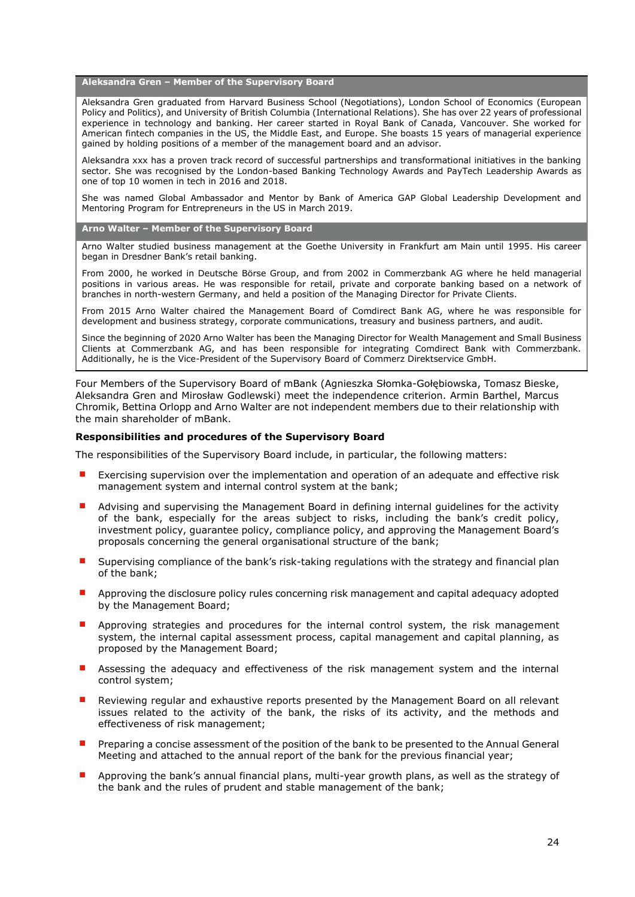**Aleksandra Gren – Member of the Supervisory Board**

Aleksandra Gren graduated from Harvard Business School (Negotiations), London School of Economics (European Policy and Politics), and University of British Columbia (International Relations). She has over 22 years of professional experience in technology and banking. Her career started in Royal Bank of Canada, Vancouver. She worked for American fintech companies in the US, the Middle East, and Europe. She boasts 15 years of managerial experience gained by holding positions of a member of the management board and an advisor.

Aleksandra xxx has a proven track record of successful partnerships and transformational initiatives in the banking sector. She was recognised by the London-based Banking Technology Awards and PayTech Leadership Awards as one of top 10 women in tech in 2016 and 2018.

She was named Global Ambassador and Mentor by Bank of America GAP Global Leadership Development and Mentoring Program for Entrepreneurs in the US in March 2019.

**Arno Walter – Member of the Supervisory Board**

Arno Walter studied business management at the Goethe University in Frankfurt am Main until 1995. His career began in Dresdner Bank's retail banking.

From 2000, he worked in Deutsche Börse Group, and from 2002 in Commerzbank AG where he held managerial positions in various areas. He was responsible for retail, private and corporate banking based on a network of branches in north-western Germany, and held a position of the Managing Director for Private Clients.

From 2015 Arno Walter chaired the Management Board of Comdirect Bank AG, where he was responsible for development and business strategy, corporate communications, treasury and business partners, and audit.

Since the beginning of 2020 Arno Walter has been the Managing Director for Wealth Management and Small Business Clients at Commerzbank AG, and has been responsible for integrating Comdirect Bank with Commerzbank. Additionally, he is the Vice-President of the Supervisory Board of Commerz Direktservice GmbH.

Four Members of the Supervisory Board of mBank (Agnieszka Słomka-Gołębiowska, Tomasz Bieske, Aleksandra Gren and Mirosław Godlewski) meet the independence criterion. Armin Barthel, Marcus Chromik, Bettina Orlopp and Arno Walter are not independent members due to their relationship with the main shareholder of mBank.

## <span id="page-23-0"></span>**Responsibilities and procedures of the Supervisory Board**

The responsibilities of the Supervisory Board include, in particular, the following matters:

- Exercising supervision over the implementation and operation of an adequate and effective risk management system and internal control system at the bank;
- Advising and supervising the Management Board in defining internal guidelines for the activity of the bank, especially for the areas subject to risks, including the bank's credit policy, investment policy, guarantee policy, compliance policy, and approving the Management Board's proposals concerning the general organisational structure of the bank;
- Supervising compliance of the bank's risk-taking regulations with the strategy and financial plan of the bank;
- Approving the disclosure policy rules concerning risk management and capital adequacy adopted by the Management Board;
- Approving strategies and procedures for the internal control system, the risk management system, the internal capital assessment process, capital management and capital planning, as proposed by the Management Board;
- Assessing the adequacy and effectiveness of the risk management system and the internal control system;
- Reviewing regular and exhaustive reports presented by the Management Board on all relevant issues related to the activity of the bank, the risks of its activity, and the methods and effectiveness of risk management;
- Preparing a concise assessment of the position of the bank to be presented to the Annual General Meeting and attached to the annual report of the bank for the previous financial year;
- Approving the bank's annual financial plans, multi-year growth plans, as well as the strategy of the bank and the rules of prudent and stable management of the bank;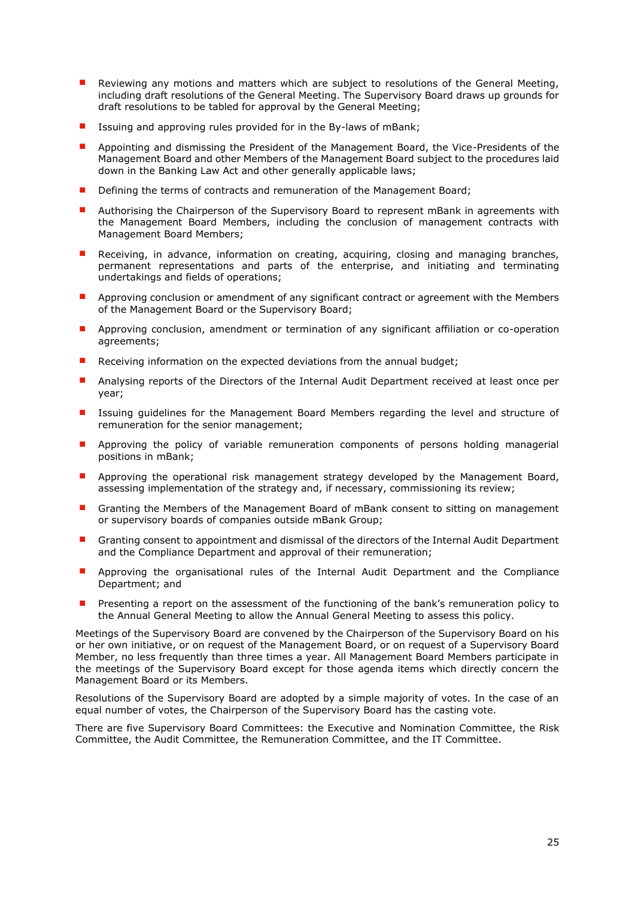- Reviewing any motions and matters which are subject to resolutions of the General Meeting, including draft resolutions of the General Meeting. The Supervisory Board draws up grounds for draft resolutions to be tabled for approval by the General Meeting;
- Issuing and approving rules provided for in the By-laws of mBank;
- Appointing and dismissing the President of the Management Board, the Vice-Presidents of the Management Board and other Members of the Management Board subject to the procedures laid down in the Banking Law Act and other generally applicable laws;
- Defining the terms of contracts and remuneration of the Management Board;
- Authorising the Chairperson of the Supervisory Board to represent mBank in agreements with the Management Board Members, including the conclusion of management contracts with Management Board Members;
- Receiving, in advance, information on creating, acquiring, closing and managing branches, permanent representations and parts of the enterprise, and initiating and terminating undertakings and fields of operations;
- Approving conclusion or amendment of any significant contract or agreement with the Members of the Management Board or the Supervisory Board;
- Approving conclusion, amendment or termination of any significant affiliation or co-operation agreements;
- Receiving information on the expected deviations from the annual budget;
- Analysing reports of the Directors of the Internal Audit Department received at least once per year;
- Issuing guidelines for the Management Board Members regarding the level and structure of remuneration for the senior management;
- Approving the policy of variable remuneration components of persons holding managerial positions in mBank;
- Approving the operational risk management strategy developed by the Management Board, assessing implementation of the strategy and, if necessary, commissioning its review;
- Granting the Members of the Management Board of mBank consent to sitting on management or supervisory boards of companies outside mBank Group;
- Granting consent to appointment and dismissal of the directors of the Internal Audit Department and the Compliance Department and approval of their remuneration;
- Approving the organisational rules of the Internal Audit Department and the Compliance Department; and
- Presenting a report on the assessment of the functioning of the bank's remuneration policy to the Annual General Meeting to allow the Annual General Meeting to assess this policy.

Meetings of the Supervisory Board are convened by the Chairperson of the Supervisory Board on his or her own initiative, or on request of the Management Board, or on request of a Supervisory Board Member, no less frequently than three times a year. All Management Board Members participate in the meetings of the Supervisory Board except for those agenda items which directly concern the Management Board or its Members.

Resolutions of the Supervisory Board are adopted by a simple majority of votes. In the case of an equal number of votes, the Chairperson of the Supervisory Board has the casting vote.

There are five Supervisory Board Committees: the Executive and Nomination Committee, the Risk Committee, the Audit Committee, the Remuneration Committee, and the IT Committee.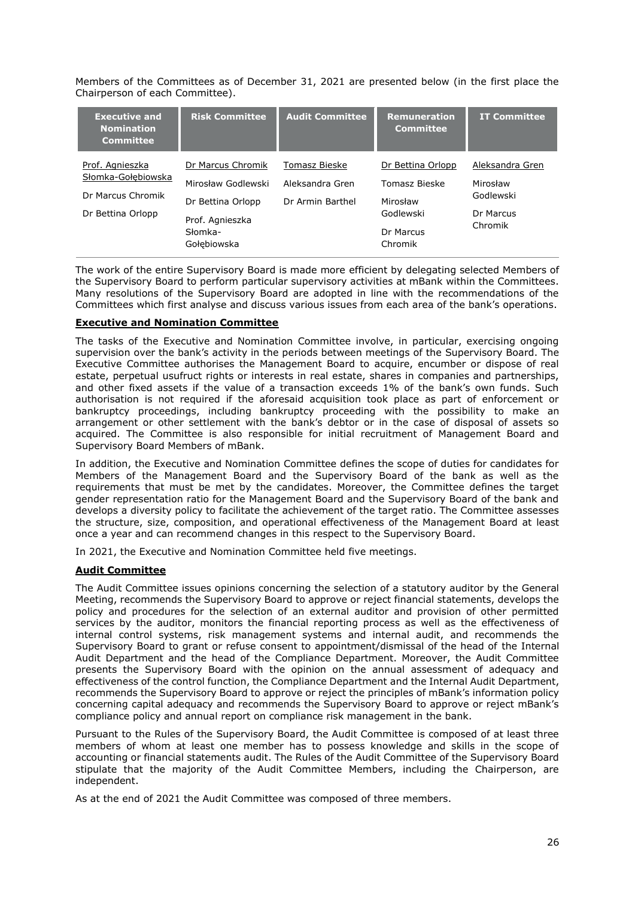Members of the Committees as of December 31, 2021 are presented below (in the first place the Chairperson of each Committee).

| <b>Executive and</b><br><b>Nomination</b><br><b>Committee</b>                   | <b>Risk Committee</b>                                                                                     | <b>Audit Committee</b>                               | <b>Remuneration</b><br><b>Committee</b>                                             | <b>IT Committee</b>                                              |
|---------------------------------------------------------------------------------|-----------------------------------------------------------------------------------------------------------|------------------------------------------------------|-------------------------------------------------------------------------------------|------------------------------------------------------------------|
| Prof. Agnieszka<br>Słomka-Gołebiowska<br>Dr Marcus Chromik<br>Dr Bettina Orlopp | Dr Marcus Chromik<br>Mirosław Godlewski<br>Dr Bettina Orlopp<br>Prof. Agnieszka<br>Słomka-<br>Gołebiowska | Tomasz Bieske<br>Aleksandra Gren<br>Dr Armin Barthel | Dr Bettina Orlopp<br>Tomasz Bieske<br>Mirosław<br>Godlewski<br>Dr Marcus<br>Chromik | Aleksandra Gren<br>Mirosław<br>Godlewski<br>Dr Marcus<br>Chromik |

The work of the entire Supervisory Board is made more efficient by delegating selected Members of the Supervisory Board to perform particular supervisory activities at mBank within the Committees. Many resolutions of the Supervisory Board are adopted in line with the recommendations of the Committees which first analyse and discuss various issues from each area of the bank's operations.

# **Executive and Nomination Committee**

The tasks of the Executive and Nomination Committee involve, in particular, exercising ongoing supervision over the bank's activity in the periods between meetings of the Supervisory Board. The Executive Committee authorises the Management Board to acquire, encumber or dispose of real estate, perpetual usufruct rights or interests in real estate, shares in companies and partnerships, and other fixed assets if the value of a transaction exceeds 1% of the bank's own funds. Such authorisation is not required if the aforesaid acquisition took place as part of enforcement or bankruptcy proceedings, including bankruptcy proceeding with the possibility to make an arrangement or other settlement with the bank's debtor or in the case of disposal of assets so acquired. The Committee is also responsible for initial recruitment of Management Board and Supervisory Board Members of mBank.

In addition, the Executive and Nomination Committee defines the scope of duties for candidates for Members of the Management Board and the Supervisory Board of the bank as well as the requirements that must be met by the candidates. Moreover, the Committee defines the target gender representation ratio for the Management Board and the Supervisory Board of the bank and develops a diversity policy to facilitate the achievement of the target ratio. The Committee assesses the structure, size, composition, and operational effectiveness of the Management Board at least once a year and can recommend changes in this respect to the Supervisory Board.

In 2021, the Executive and Nomination Committee held five meetings.

# **Audit Committee**

The Audit Committee issues opinions concerning the selection of a statutory auditor by the General Meeting, recommends the Supervisory Board to approve or reject financial statements, develops the policy and procedures for the selection of an external auditor and provision of other permitted services by the auditor, monitors the financial reporting process as well as the effectiveness of internal control systems, risk management systems and internal audit, and recommends the Supervisory Board to grant or refuse consent to appointment/dismissal of the head of the Internal Audit Department and the head of the Compliance Department. Moreover, the Audit Committee presents the Supervisory Board with the opinion on the annual assessment of adequacy and effectiveness of the control function, the Compliance Department and the Internal Audit Department, recommends the Supervisory Board to approve or reject the principles of mBank's information policy concerning capital adequacy and recommends the Supervisory Board to approve or reject mBank's compliance policy and annual report on compliance risk management in the bank.

Pursuant to the Rules of the Supervisory Board, the Audit Committee is composed of at least three members of whom at least one member has to possess knowledge and skills in the scope of accounting or financial statements audit. The Rules of the Audit Committee of the Supervisory Board stipulate that the majority of the Audit Committee Members, including the Chairperson, are independent.

As at the end of 2021 the Audit Committee was composed of three members.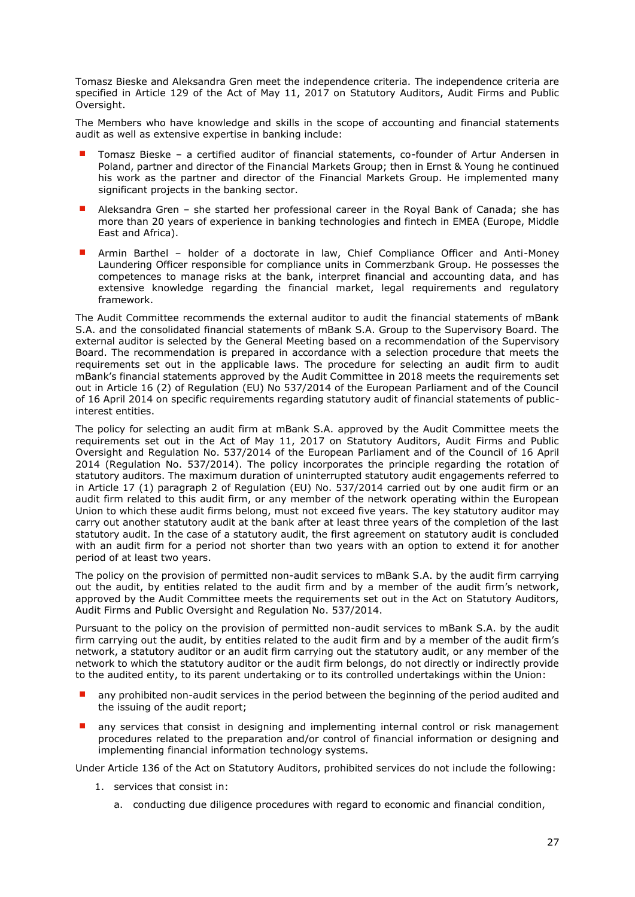Tomasz Bieske and Aleksandra Gren meet the independence criteria. The independence criteria are specified in Article 129 of the Act of May 11, 2017 on Statutory Auditors, Audit Firms and Public Oversight.

The Members who have knowledge and skills in the scope of accounting and financial statements audit as well as extensive expertise in banking include:

- Tomasz Bieske a certified auditor of financial statements, co-founder of Artur Andersen in Poland, partner and director of the Financial Markets Group; then in Ernst & Young he continued his work as the partner and director of the Financial Markets Group. He implemented many significant projects in the banking sector.
- Aleksandra Gren she started her professional career in the Royal Bank of Canada; she has more than 20 years of experience in banking technologies and fintech in EMEA (Europe, Middle East and Africa).
- Armin Barthel holder of a doctorate in law, Chief Compliance Officer and Anti-Money Laundering Officer responsible for compliance units in Commerzbank Group. He possesses the competences to manage risks at the bank, interpret financial and accounting data, and has extensive knowledge regarding the financial market, legal requirements and regulatory framework.

The Audit Committee recommends the external auditor to audit the financial statements of mBank S.A. and the consolidated financial statements of mBank S.A. Group to the Supervisory Board. The external auditor is selected by the General Meeting based on a recommendation of the Supervisory Board. The recommendation is prepared in accordance with a selection procedure that meets the requirements set out in the applicable laws. The procedure for selecting an audit firm to audit mBank's financial statements approved by the Audit Committee in 2018 meets the requirements set out in Article 16 (2) of Regulation (EU) No 537/2014 of the European Parliament and of the Council of 16 April 2014 on specific requirements regarding statutory audit of financial statements of publicinterest entities.

The policy for selecting an audit firm at mBank S.A. approved by the Audit Committee meets the requirements set out in the Act of May 11, 2017 on Statutory Auditors, Audit Firms and Public Oversight and Regulation No. 537/2014 of the European Parliament and of the Council of 16 April 2014 (Regulation No. 537/2014). The policy incorporates the principle regarding the rotation of statutory auditors. The maximum duration of uninterrupted statutory audit engagements referred to in Article 17 (1) paragraph 2 of Regulation (EU) No. 537/2014 carried out by one audit firm or an audit firm related to this audit firm, or any member of the network operating within the European Union to which these audit firms belong, must not exceed five years. The key statutory auditor may carry out another statutory audit at the bank after at least three years of the completion of the last statutory audit. In the case of a statutory audit, the first agreement on statutory audit is concluded with an audit firm for a period not shorter than two years with an option to extend it for another period of at least two years.

The policy on the provision of permitted non-audit services to mBank S.A. by the audit firm carrying out the audit, by entities related to the audit firm and by a member of the audit firm's network, approved by the Audit Committee meets the requirements set out in the Act on Statutory Auditors, Audit Firms and Public Oversight and Regulation No. 537/2014.

Pursuant to the policy on the provision of permitted non-audit services to mBank S.A. by the audit firm carrying out the audit, by entities related to the audit firm and by a member of the audit firm's network, a statutory auditor or an audit firm carrying out the statutory audit, or any member of the network to which the statutory auditor or the audit firm belongs, do not directly or indirectly provide to the audited entity, to its parent undertaking or to its controlled undertakings within the Union:

- any prohibited non-audit services in the period between the beginning of the period audited and the issuing of the audit report;
- any services that consist in designing and implementing internal control or risk management procedures related to the preparation and/or control of financial information or designing and implementing financial information technology systems.

Under Article 136 of the Act on Statutory Auditors, prohibited services do not include the following:

- 1. services that consist in:
	- a. conducting due diligence procedures with regard to economic and financial condition,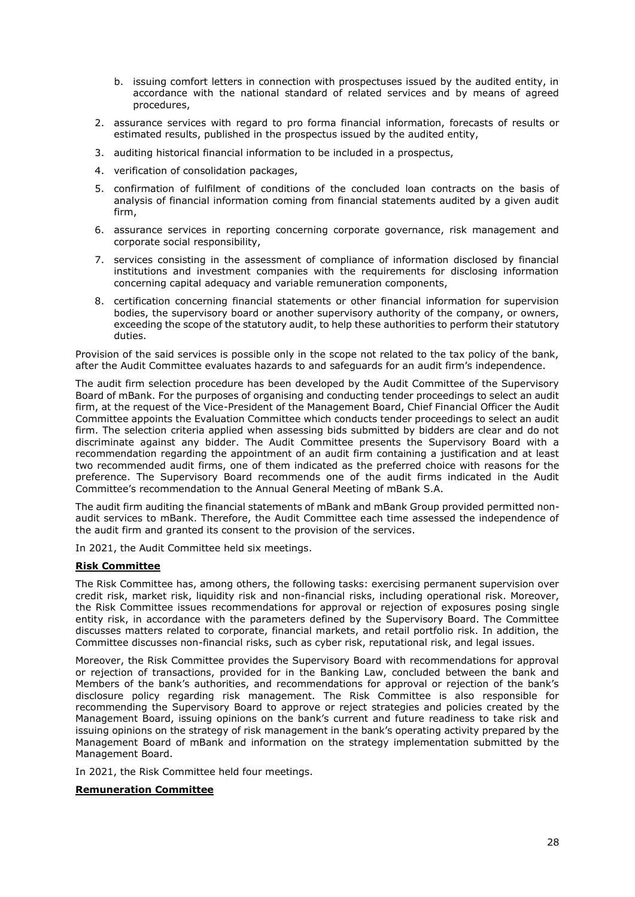- b. issuing comfort letters in connection with prospectuses issued by the audited entity, in accordance with the national standard of related services and by means of agreed procedures,
- 2. assurance services with regard to pro forma financial information, forecasts of results or estimated results, published in the prospectus issued by the audited entity,
- 3. auditing historical financial information to be included in a prospectus,
- 4. verification of consolidation packages,
- 5. confirmation of fulfilment of conditions of the concluded loan contracts on the basis of analysis of financial information coming from financial statements audited by a given audit firm,
- 6. assurance services in reporting concerning corporate governance, risk management and corporate social responsibility,
- 7. services consisting in the assessment of compliance of information disclosed by financial institutions and investment companies with the requirements for disclosing information concerning capital adequacy and variable remuneration components,
- 8. certification concerning financial statements or other financial information for supervision bodies, the supervisory board or another supervisory authority of the company, or owners, exceeding the scope of the statutory audit, to help these authorities to perform their statutory duties.

Provision of the said services is possible only in the scope not related to the tax policy of the bank, after the Audit Committee evaluates hazards to and safeguards for an audit firm's independence.

The audit firm selection procedure has been developed by the Audit Committee of the Supervisory Board of mBank. For the purposes of organising and conducting tender proceedings to select an audit firm, at the request of the Vice-President of the Management Board, Chief Financial Officer the Audit Committee appoints the Evaluation Committee which conducts tender proceedings to select an audit firm. The selection criteria applied when assessing bids submitted by bidders are clear and do not discriminate against any bidder. The Audit Committee presents the Supervisory Board with a recommendation regarding the appointment of an audit firm containing a justification and at least two recommended audit firms, one of them indicated as the preferred choice with reasons for the preference. The Supervisory Board recommends one of the audit firms indicated in the Audit Committee's recommendation to the Annual General Meeting of mBank S.A.

The audit firm auditing the financial statements of mBank and mBank Group provided permitted nonaudit services to mBank. Therefore, the Audit Committee each time assessed the independence of the audit firm and granted its consent to the provision of the services.

In 2021, the Audit Committee held six meetings.

# **Risk Committee**

The Risk Committee has, among others, the following tasks: exercising permanent supervision over credit risk, market risk, liquidity risk and non-financial risks, including operational risk. Moreover, the Risk Committee issues recommendations for approval or rejection of exposures posing single entity risk, in accordance with the parameters defined by the Supervisory Board. The Committee discusses matters related to corporate, financial markets, and retail portfolio risk. In addition, the Committee discusses non-financial risks, such as cyber risk, reputational risk, and legal issues.

Moreover, the Risk Committee provides the Supervisory Board with recommendations for approval or rejection of transactions, provided for in the Banking Law, concluded between the bank and Members of the bank's authorities, and recommendations for approval or rejection of the bank's disclosure policy regarding risk management. The Risk Committee is also responsible for recommending the Supervisory Board to approve or reject strategies and policies created by the Management Board, issuing opinions on the bank's current and future readiness to take risk and issuing opinions on the strategy of risk management in the bank's operating activity prepared by the Management Board of mBank and information on the strategy implementation submitted by the Management Board.

In 2021, the Risk Committee held four meetings.

# **Remuneration Committee**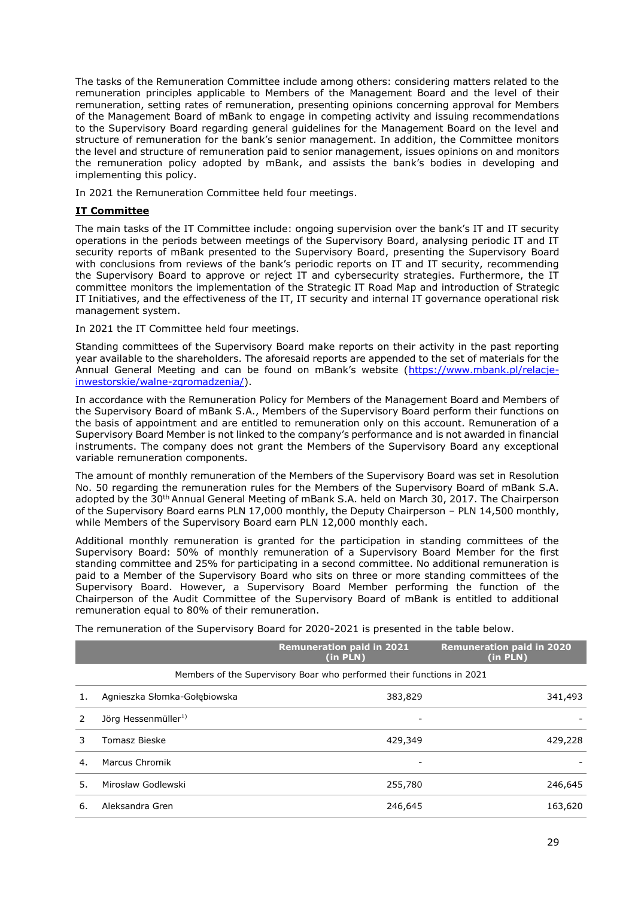The tasks of the Remuneration Committee include among others: considering matters related to the remuneration principles applicable to Members of the Management Board and the level of their remuneration, setting rates of remuneration, presenting opinions concerning approval for Members of the Management Board of mBank to engage in competing activity and issuing recommendations to the Supervisory Board regarding general guidelines for the Management Board on the level and structure of remuneration for the bank's senior management. In addition, the Committee monitors the level and structure of remuneration paid to senior management, issues opinions on and monitors the remuneration policy adopted by mBank, and assists the bank's bodies in developing and implementing this policy.

In 2021 the Remuneration Committee held four meetings.

# **IT Committee**

The main tasks of the IT Committee include: ongoing supervision over the bank's IT and IT security operations in the periods between meetings of the Supervisory Board, analysing periodic IT and IT security reports of mBank presented to the Supervisory Board, presenting the Supervisory Board with conclusions from reviews of the bank's periodic reports on IT and IT security, recommending the Supervisory Board to approve or reject IT and cybersecurity strategies. Furthermore, the IT committee monitors the implementation of the Strategic IT Road Map and introduction of Strategic IT Initiatives, and the effectiveness of the IT, IT security and internal IT governance operational risk management system.

In 2021 the IT Committee held four meetings.

Standing committees of the Supervisory Board make reports on their activity in the past reporting year available to the shareholders. The aforesaid reports are appended to the set of materials for the Annual General Meeting and can be found on mBank's website ([https://www.mbank.pl/relacje](https://www.mbank.pl/relacje-inwestorskie/walne-zgromadzenia/)[inwestorskie/walne-zgromadzenia/\)](https://www.mbank.pl/relacje-inwestorskie/walne-zgromadzenia/).

In accordance with the Remuneration Policy for Members of the Management Board and Members of the Supervisory Board of mBank S.A., Members of the Supervisory Board perform their functions on the basis of appointment and are entitled to remuneration only on this account. Remuneration of a Supervisory Board Member is not linked to the company's performance and is not awarded in financial instruments. The company does not grant the Members of the Supervisory Board any exceptional variable remuneration components.

The amount of monthly remuneration of the Members of the Supervisory Board was set in Resolution No. 50 regarding the remuneration rules for the Members of the Supervisory Board of mBank S.A. adopted by the 30th Annual General Meeting of mBank S.A. held on March 30, 2017. The Chairperson of the Supervisory Board earns PLN 17,000 monthly, the Deputy Chairperson – PLN 14,500 monthly, while Members of the Supervisory Board earn PLN 12,000 monthly each.

Additional monthly remuneration is granted for the participation in standing committees of the Supervisory Board: 50% of monthly remuneration of a Supervisory Board Member for the first standing committee and 25% for participating in a second committee. No additional remuneration is paid to a Member of the Supervisory Board who sits on three or more standing committees of the Supervisory Board. However, a Supervisory Board Member performing the function of the Chairperson of the Audit Committee of the Supervisory Board of mBank is entitled to additional remuneration equal to 80% of their remuneration.

The remuneration of the Supervisory Board for 2020-2021 is presented in the table below.

|    |                                                                       | <b>Remuneration paid in 2021</b><br>(in PLN) | <b>Remuneration paid in 2020</b><br>(in PLN) |  |  |
|----|-----------------------------------------------------------------------|----------------------------------------------|----------------------------------------------|--|--|
|    | Members of the Supervisory Boar who performed their functions in 2021 |                                              |                                              |  |  |
|    | Agnieszka Słomka-Gołebiowska                                          | 383,829                                      | 341,493                                      |  |  |
|    | Jörg Hessenmüller <sup>1)</sup>                                       | ۰                                            |                                              |  |  |
|    | Tomasz Bieske                                                         | 429,349                                      | 429,228                                      |  |  |
| 4. | Marcus Chromik                                                        | -                                            |                                              |  |  |
| 5. | Mirosław Godlewski                                                    | 255,780                                      | 246,645                                      |  |  |
| 6. | Aleksandra Gren                                                       | 246,645                                      | 163,620                                      |  |  |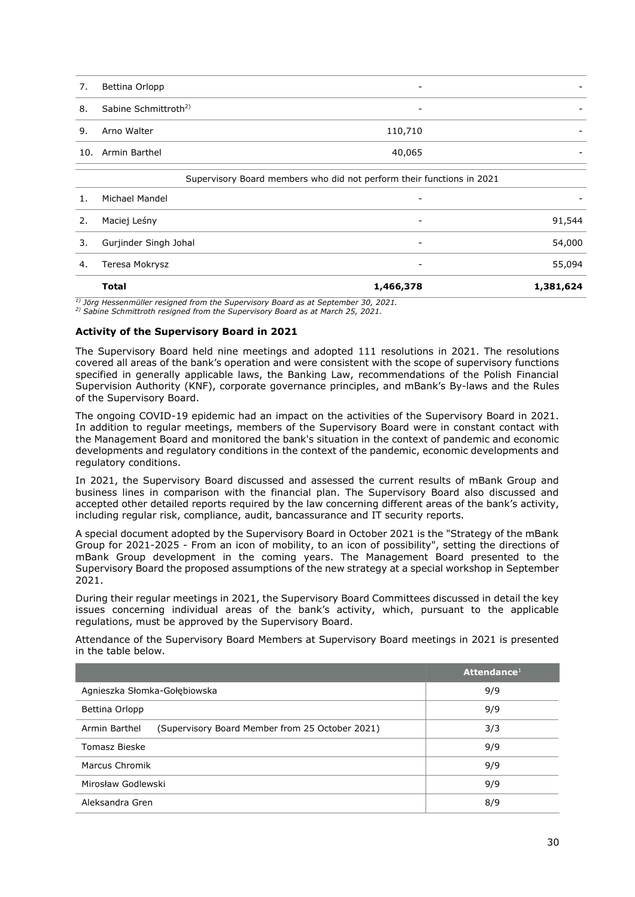| 7. | Bettina Orlopp                   | ۰                        |  |
|----|----------------------------------|--------------------------|--|
| 8. | Sabine Schmittroth <sup>2)</sup> | $\overline{\phantom{0}}$ |  |
| 9. | Arno Walter                      | 110,710                  |  |
|    | 10. Armin Barthel                | 40,065                   |  |
|    |                                  |                          |  |

|    | Supervisory Board members who did not perform their functions in 2021 |                          |           |  |  |
|----|-----------------------------------------------------------------------|--------------------------|-----------|--|--|
|    | Michael Mandel                                                        | $\overline{\phantom{a}}$ |           |  |  |
|    | Maciej Leśny                                                          | $\overline{\phantom{0}}$ | 91,544    |  |  |
|    | Gurjinder Singh Johal                                                 | -                        | 54,000    |  |  |
| 4. | Teresa Mokrysz                                                        | -                        | 55,094    |  |  |
|    | <b>Total</b>                                                          | 1,466,378                | 1,381,624 |  |  |

*1) Jörg Hessenmüller resigned from the Supervisory Board as at September 30, 2021.*

*2) Sabine Schmittroth resigned from the Supervisory Board as at March 25, 2021.*

#### <span id="page-29-0"></span>**Activity of the Supervisory Board in 2021**

The Supervisory Board held nine meetings and adopted 111 resolutions in 2021. The resolutions covered all areas of the bank's operation and were consistent with the scope of supervisory functions specified in generally applicable laws, the Banking Law, recommendations of the Polish Financial Supervision Authority (KNF), corporate governance principles, and mBank's By-laws and the Rules of the Supervisory Board.

The ongoing COVID-19 epidemic had an impact on the activities of the Supervisory Board in 2021. In addition to regular meetings, members of the Supervisory Board were in constant contact with the Management Board and monitored the bank's situation in the context of pandemic and economic developments and regulatory conditions in the context of the pandemic, economic developments and regulatory conditions.

In 2021, the Supervisory Board discussed and assessed the current results of mBank Group and business lines in comparison with the financial plan. The Supervisory Board also discussed and accepted other detailed reports required by the law concerning different areas of the bank's activity, including regular risk, compliance, audit, bancassurance and IT security reports.

A special document adopted by the Supervisory Board in October 2021 is the "Strategy of the mBank Group for 2021-2025 - From an icon of mobility, to an icon of possibility", setting the directions of mBank Group development in the coming years. The Management Board presented to the Supervisory Board the proposed assumptions of the new strategy at a special workshop in September 2021.

During their regular meetings in 2021, the Supervisory Board Committees discussed in detail the key issues concerning individual areas of the bank's activity, which, pursuant to the applicable regulations, must be approved by the Supervisory Board.

Attendance of the Supervisory Board Members at Supervisory Board meetings in 2021 is presented in the table below.

|                                                                  | Attendance <sup>1</sup> |
|------------------------------------------------------------------|-------------------------|
| Agnieszka Słomka-Gołębiowska                                     | 9/9                     |
| Bettina Orlopp                                                   | 9/9                     |
| Armin Barthel<br>(Supervisory Board Member from 25 October 2021) | 3/3                     |
| Tomasz Bieske                                                    | 9/9                     |
| Marcus Chromik                                                   | 9/9                     |
| Mirosław Godlewski                                               | 9/9                     |
| Aleksandra Gren                                                  | 8/9                     |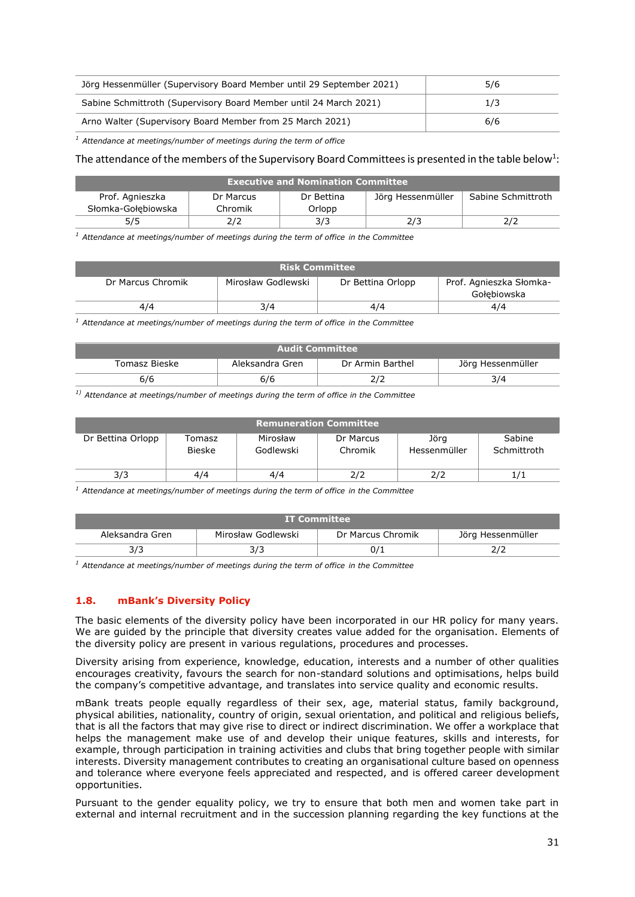| Jörg Hessenmüller (Supervisory Board Member until 29 September 2021) | 5/6 |
|----------------------------------------------------------------------|-----|
| Sabine Schmittroth (Supervisory Board Member until 24 March 2021)    | 1/3 |
| Arno Walter (Supervisory Board Member from 25 March 2021)            | 6/6 |

*<sup>1</sup> Attendance at meetings/number of meetings during the term of office*

# The attendance of the members of the Supervisory Board Committees is presented in the table below<sup>1</sup>:

| <b>Executive and Nomination Committee</b> |           |            |                   |                    |  |  |  |
|-------------------------------------------|-----------|------------|-------------------|--------------------|--|--|--|
| Prof. Agnieszka                           | Dr Marcus | Dr Bettina | Jörg Hessenmüller | Sabine Schmittroth |  |  |  |
| Słomka-Gołebiowska                        | Chromik   | Orlopp     |                   |                    |  |  |  |
| 5/5                                       |           | 3/3        |                   |                    |  |  |  |

*<sup>1</sup> Attendance at meetings/number of meetings during the term of office in the Committee*

| <b>Risk Committee</b> |                    |                   |                                        |  |  |  |  |
|-----------------------|--------------------|-------------------|----------------------------------------|--|--|--|--|
| Dr Marcus Chromik     | Mirosław Godlewski | Dr Bettina Orlopp | Prof. Agnieszka Słomka-<br>Gołebiowska |  |  |  |  |
| 4/4                   | 3/4                | 4/4               | 4/4                                    |  |  |  |  |

*<sup>1</sup> Attendance at meetings/number of meetings during the term of office in the Committee*

| <b>Audit Committee</b>                                                    |     |  |     |  |  |  |  |
|---------------------------------------------------------------------------|-----|--|-----|--|--|--|--|
| Aleksandra Gren<br>Dr Armin Barthel<br>Jörg Hessenmüller<br>Tomasz Bieske |     |  |     |  |  |  |  |
| 6/6                                                                       | 6/6 |  | 3/4 |  |  |  |  |

*1) Attendance at meetings/number of meetings during the term of office in the Committee* 

| <b>Remuneration Committee</b> |                         |                       |                      |                      |                       |  |  |  |
|-------------------------------|-------------------------|-----------------------|----------------------|----------------------|-----------------------|--|--|--|
| Dr Bettina Orlopp             | Tomasz<br><b>Bieske</b> | Mirosław<br>Godlewski | Dr Marcus<br>Chromik | Jörg<br>Hessenmüller | Sabine<br>Schmittroth |  |  |  |
| 3/3                           | 4/4                     | 4/4                   | 2/2                  |                      |                       |  |  |  |

*<sup>1</sup> Attendance at meetings/number of meetings during the term of office in the Committee*

| LIT Committee \ |                    |                   |                   |  |  |  |
|-----------------|--------------------|-------------------|-------------------|--|--|--|
| Aleksandra Gren | Mirosław Godlewski | Dr Marcus Chromik | Jörg Hessenmüller |  |  |  |
|                 | د رد               |                   |                   |  |  |  |

*<sup>1</sup> Attendance at meetings/number of meetings during the term of office in the Committee*

# <span id="page-30-0"></span>**1.8. mBank's Diversity Policy**

The basic elements of the diversity policy have been incorporated in our HR policy for many years. We are guided by the principle that diversity creates value added for the organisation. Elements of the diversity policy are present in various regulations, procedures and processes.

Diversity arising from experience, knowledge, education, interests and a number of other qualities encourages creativity, favours the search for non-standard solutions and optimisations, helps build the company's competitive advantage, and translates into service quality and economic results.

mBank treats people equally regardless of their sex, age, material status, family background, physical abilities, nationality, country of origin, sexual orientation, and political and religious beliefs, that is all the factors that may give rise to direct or indirect discrimination. We offer a workplace that helps the management make use of and develop their unique features, skills and interests, for example, through participation in training activities and clubs that bring together people with similar interests. Diversity management contributes to creating an organisational culture based on openness and tolerance where everyone feels appreciated and respected, and is offered career development opportunities.

Pursuant to the gender equality policy, we try to ensure that both men and women take part in external and internal recruitment and in the succession planning regarding the key functions at the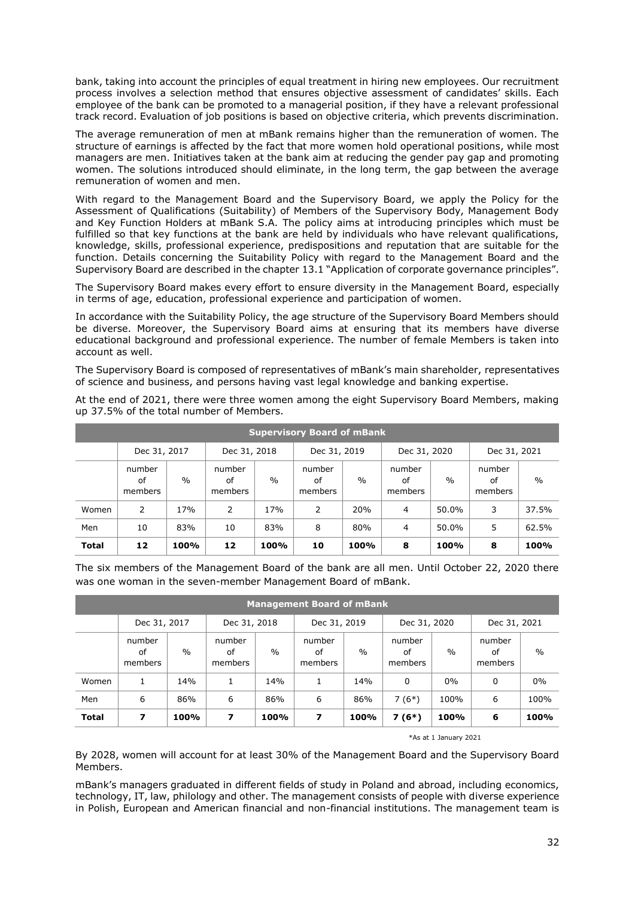bank, taking into account the principles of equal treatment in hiring new employees. Our recruitment process involves a selection method that ensures objective assessment of candidates' skills. Each employee of the bank can be promoted to a managerial position, if they have a relevant professional track record. Evaluation of job positions is based on objective criteria, which prevents discrimination.

The average remuneration of men at mBank remains higher than the remuneration of women. The structure of earnings is affected by the fact that more women hold operational positions, while most managers are men. Initiatives taken at the bank aim at reducing the gender pay gap and promoting women. The solutions introduced should eliminate, in the long term, the gap between the average remuneration of women and men.

With regard to the Management Board and the Supervisory Board, we apply the Policy for the Assessment of Qualifications (Suitability) of Members of the Supervisory Body, Management Body and Key Function Holders at mBank S.A. The policy aims at introducing principles which must be fulfilled so that key functions at the bank are held by individuals who have relevant qualifications, knowledge, skills, professional experience, predispositions and reputation that are suitable for the function. Details concerning the Suitability Policy with regard to the Management Board and the Supervisory Board are described in the chapter 13.1 "Application of corporate governance principles".

The Supervisory Board makes every effort to ensure diversity in the Management Board, especially in terms of age, education, professional experience and participation of women.

In accordance with the Suitability Policy, the age structure of the Supervisory Board Members should be diverse. Moreover, the Supervisory Board aims at ensuring that its members have diverse educational background and professional experience. The number of female Members is taken into account as well.

The Supervisory Board is composed of representatives of mBank's main shareholder, representatives of science and business, and persons having vast legal knowledge and banking expertise.

| <b>Supervisory Board of mBank</b> |                         |                 |                         |                 |                         |               |                         |               |                         |               |
|-----------------------------------|-------------------------|-----------------|-------------------------|-----------------|-------------------------|---------------|-------------------------|---------------|-------------------------|---------------|
|                                   | Dec 31, 2017            |                 | Dec 31, 2018            |                 | Dec 31, 2019            |               | Dec 31, 2020            |               | Dec 31, 2021            |               |
|                                   | number<br>of<br>members | $\frac{0}{0}$   | number<br>of<br>members | $\frac{0}{0}$   | number<br>of<br>members | $\frac{0}{0}$ | number<br>of<br>members | $\frac{0}{0}$ | number<br>of<br>members | $\frac{0}{0}$ |
| Women                             | 2                       | 17 <sub>%</sub> | 2                       | 17 <sub>%</sub> | 2                       | 20%           | 4                       | 50.0%         | 3                       | 37.5%         |
| Men                               | 10                      | 83%             | 10                      | 83%             | 8                       | 80%           | $\overline{4}$          | 50.0%         | 5                       | 62.5%         |
| <b>Total</b>                      | 12                      | 100%            | 12                      | 100%            | 10                      | 100%          | 8                       | 100%          | 8                       | 100%          |

At the end of 2021, there were three women among the eight Supervisory Board Members, making up 37.5% of the total number of Members.

The six members of the Management Board of the bank are all men. Until October 22, 2020 there was one woman in the seven-member Management Board of mBank.

| <b>Management Board of mBank</b> |                         |               |                         |               |                         |               |                         |               |                         |               |
|----------------------------------|-------------------------|---------------|-------------------------|---------------|-------------------------|---------------|-------------------------|---------------|-------------------------|---------------|
|                                  | Dec 31, 2017            |               | Dec 31, 2018            |               | Dec 31, 2019            |               | Dec 31, 2020            |               | Dec 31, 2021            |               |
|                                  | number<br>of<br>members | $\frac{0}{0}$ | number<br>of<br>members | $\frac{0}{0}$ | number<br>of<br>members | $\frac{0}{0}$ | number<br>οf<br>members | $\frac{0}{0}$ | number<br>of<br>members | $\frac{0}{0}$ |
| Women                            | 1                       | 14%           | 1.                      | 14%           |                         | 14%           | 0                       | $0\%$         | 0                       | 0%            |
| Men                              | 6                       | 86%           | 6                       | 86%           | 6                       | 86%           | $7(6*)$                 | 100%          | 6                       | 100%          |
| <b>Total</b>                     | 7                       | 100%          | 7                       | 100%          | 7                       | 100%          | $7(6*)$                 | 100%          | 6                       | 100%          |

\*As at 1 January 2021

By 2028, women will account for at least 30% of the Management Board and the Supervisory Board Members.

mBank's managers graduated in different fields of study in Poland and abroad, including economics, technology, IT, law, philology and other. The management consists of people with diverse experience in Polish, European and American financial and non-financial institutions. The management team is